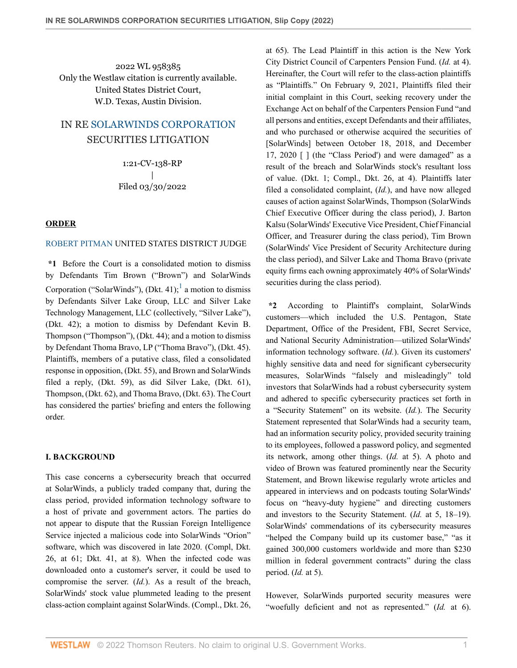2022 WL 958385 Only the Westlaw citation is currently available. United States District Court, W.D. Texas, Austin Division.

# IN RE [SOLARWINDS CORPORATION](http://www.westlaw.com/Search/Results.html?query=advanced%3a+WCAID(IB388F0306C5A11E4B666C08D52CFE314)&saveJuris=False&contentType=BUSINESS-INVESTIGATOR&startIndex=1&contextData=(sc.Default)&categoryPageUrl=Home%2fCompanyInvestigator&originationContext=document&vr=3.0&rs=cblt1.0&transitionType=DocumentItem) SECURITIES LITIGATION

1:21-CV-138-RP | Filed 03/30/2022

## **ORDER**

# [ROBERT PITMAN](http://www.westlaw.com/Link/Document/FullText?findType=h&pubNum=176284&cite=0159688899&originatingDoc=I419b5ab0b0f111ecbf45df569f0c2bfa&refType=RQ&originationContext=document&vr=3.0&rs=cblt1.0&transitionType=DocumentItem&contextData=(sc.Search)) UNITED STATES DISTRICT JUDGE

**\*1** Before the Court is a consolidated motion to dismiss by Defendants Tim Brown ("Brown") and SolarWinds Corporation ("SolarWinds"), (Dkt. 4[1](#page-11-0));<sup>1</sup> a motion to dismiss by Defendants Silver Lake Group, LLC and Silver Lake Technology Management, LLC (collectively, "Silver Lake"), (Dkt. 42); a motion to dismiss by Defendant Kevin B. Thompson ("Thompson"), (Dkt. 44); and a motion to dismiss by Defendant Thoma Bravo, LP ("Thoma Bravo"), (Dkt. 45). Plaintiffs, members of a putative class, filed a consolidated response in opposition, (Dkt. 55), and Brown and SolarWinds filed a reply, (Dkt. 59), as did Silver Lake, (Dkt. 61), Thompson, (Dkt. 62), and Thoma Bravo, (Dkt. 63). The Court has considered the parties' briefing and enters the following order.

# **I. BACKGROUND**

This case concerns a cybersecurity breach that occurred at SolarWinds, a publicly traded company that, during the class period, provided information technology software to a host of private and government actors. The parties do not appear to dispute that the Russian Foreign Intelligence Service injected a malicious code into SolarWinds "Orion" software, which was discovered in late 2020. (Compl, Dkt. 26, at 61; Dkt. 41, at 8). When the infected code was downloaded onto a customer's server, it could be used to compromise the server. (*Id.*). As a result of the breach, SolarWinds' stock value plummeted leading to the present class-action complaint against SolarWinds. (Compl., Dkt. 26, at 65). The Lead Plaintiff in this action is the New York City District Council of Carpenters Pension Fund. (*Id.* at 4). Hereinafter, the Court will refer to the class-action plaintiffs as "Plaintiffs." On February 9, 2021, Plaintiffs filed their initial complaint in this Court, seeking recovery under the Exchange Act on behalf of the Carpenters Pension Fund "and all persons and entities, except Defendants and their affiliates, and who purchased or otherwise acquired the securities of [SolarWinds] between October 18, 2018, and December 17, 2020 [ ] (the "Class Period') and were damaged" as a result of the breach and SolarWinds stock's resultant loss of value. (Dkt. 1; Compl., Dkt. 26, at 4). Plaintiffs later filed a consolidated complaint, (*Id.*), and have now alleged causes of action against SolarWinds, Thompson (SolarWinds Chief Executive Officer during the class period), J. Barton Kalsu (SolarWinds' Executive Vice President, Chief Financial Officer, and Treasurer during the class period), Tim Brown (SolarWinds' Vice President of Security Architecture during the class period), and Silver Lake and Thoma Bravo (private equity firms each owning approximately 40% of SolarWinds' securities during the class period).

<span id="page-0-0"></span>**\*2** According to Plaintiff's complaint, SolarWinds customers—which included the U.S. Pentagon, State Department, Office of the President, FBI, Secret Service, and National Security Administration—utilized SolarWinds' information technology software. (*Id.*). Given its customers' highly sensitive data and need for significant cybersecurity measures, SolarWinds "falsely and misleadingly" told investors that SolarWinds had a robust cybersecurity system and adhered to specific cybersecurity practices set forth in a "Security Statement" on its website. (*Id.*). The Security Statement represented that SolarWinds had a security team, had an information security policy, provided security training to its employees, followed a password policy, and segmented its network, among other things. (*Id.* at 5). A photo and video of Brown was featured prominently near the Security Statement, and Brown likewise regularly wrote articles and appeared in interviews and on podcasts touting SolarWinds' focus on "heavy-duty hygiene" and directing customers and investors to the Security Statement. (*Id.* at 5, 18–19). SolarWinds' commendations of its cybersecurity measures "helped the Company build up its customer base," "as it gained 300,000 customers worldwide and more than \$230 million in federal government contracts" during the class period. (*Id.* at 5).

However, SolarWinds purported security measures were "woefully deficient and not as represented." (*Id.* at 6).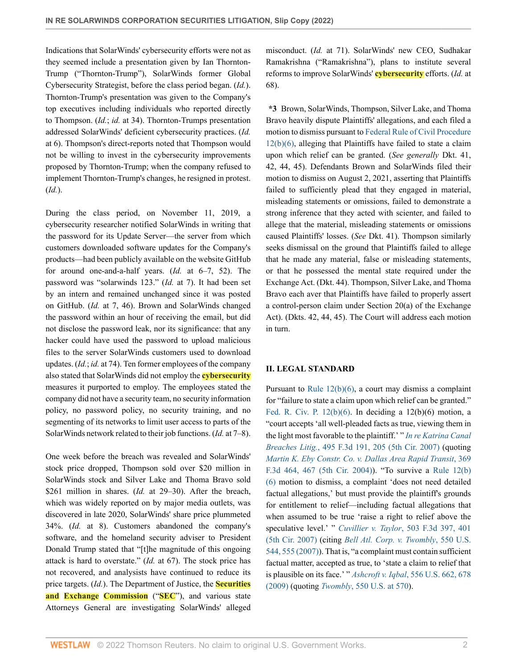Indications that SolarWinds' cybersecurity efforts were not as they seemed include a presentation given by Ian Thornton-Trump ("Thornton-Trump"), SolarWinds former Global Cybersecurity Strategist, before the class period began. (*Id.*). Thornton-Trump's presentation was given to the Company's top executives including individuals who reported directly to Thompson. (*Id.*; *id.* at 34). Thornton-Trumps presentation addressed SolarWinds' deficient cybersecurity practices. (*Id.* at 6). Thompson's direct-reports noted that Thompson would not be willing to invest in the cybersecurity improvements proposed by Thornton-Trump; when the company refused to implement Thornton-Trump's changes, he resigned in protest. (*Id.*).

During the class period, on November 11, 2019, a cybersecurity researcher notified SolarWinds in writing that the password for its Update Server—the server from which customers downloaded software updates for the Company's products—had been publicly available on the website GitHub for around one-and-a-half years. (*Id.* at 6–7, 52). The password was "solarwinds 123." (*Id.* at 7). It had been set by an intern and remained unchanged since it was posted on GitHub. (*Id.* at 7, 46). Brown and SolarWinds changed the password within an hour of receiving the email, but did not disclose the password leak, nor its significance: that any hacker could have used the password to upload malicious files to the server SolarWinds customers used to download updates. (*Id.*; *id.* at 74). Ten former employees of the company also stated that SolarWinds did not employ the **cybersecurity** measures it purported to employ. The employees stated the company did not have a security team, no security information policy, no password policy, no security training, and no segmenting of its networks to limit user access to parts of the SolarWinds network related to their job functions. (*Id.* at 7–8).

One week before the breach was revealed and SolarWinds' stock price dropped, Thompson sold over \$20 million in SolarWinds stock and Silver Lake and Thoma Bravo sold \$261 million in shares. (*Id.* at 29-30). After the breach, which was widely reported on by major media outlets, was discovered in late 2020, SolarWinds' share price plummeted 34%. (*Id.* at 8). Customers abandoned the company's software, and the homeland security adviser to President Donald Trump stated that "[t]he magnitude of this ongoing attack is hard to overstate." (*Id.* at 67). The stock price has not recovered, and analysists have continued to reduce its price targets. (*Id.*). The Department of Justice, the **Securities and Exchange Commission** ("**SEC**"), and various state Attorneys General are investigating SolarWinds' alleged misconduct. (*Id.* at 71). SolarWinds' new CEO, Sudhakar Ramakrishna ("Ramakrishna"), plans to institute several reforms to improve SolarWinds' **cybersecurity** efforts. (*Id.* at 68).

**\*3** Brown, SolarWinds, Thompson, Silver Lake, and Thoma Bravo heavily dispute Plaintiffs' allegations, and each filed a motion to dismiss pursuant to [Federal Rule of Civil Procedure](http://www.westlaw.com/Link/Document/FullText?findType=L&pubNum=1000600&cite=USFRCPR12&originatingDoc=I419b5ab0b0f111ecbf45df569f0c2bfa&refType=LQ&originationContext=document&vr=3.0&rs=cblt1.0&transitionType=DocumentItem&contextData=(sc.Search)) [12\(b\)\(6\)](http://www.westlaw.com/Link/Document/FullText?findType=L&pubNum=1000600&cite=USFRCPR12&originatingDoc=I419b5ab0b0f111ecbf45df569f0c2bfa&refType=LQ&originationContext=document&vr=3.0&rs=cblt1.0&transitionType=DocumentItem&contextData=(sc.Search)), alleging that Plaintiffs have failed to state a claim upon which relief can be granted. (*See generally* Dkt. 41, 42, 44, 45). Defendants Brown and SolarWinds filed their motion to dismiss on August 2, 2021, asserting that Plaintiffs failed to sufficiently plead that they engaged in material, misleading statements or omissions, failed to demonstrate a strong inference that they acted with scienter, and failed to allege that the material, misleading statements or omissions caused Plaintiffs' losses. (*See* Dkt. 41). Thompson similarly seeks dismissal on the ground that Plaintiffs failed to allege that he made any material, false or misleading statements, or that he possessed the mental state required under the Exchange Act. (Dkt. 44). Thompson, Silver Lake, and Thoma Bravo each aver that Plaintiffs have failed to properly assert a control-person claim under Section 20(a) of the Exchange Act). (Dkts. 42, 44, 45). The Court will address each motion in turn.

# **II. LEGAL STANDARD**

Pursuant to [Rule 12\(b\)\(6\),](http://www.westlaw.com/Link/Document/FullText?findType=L&pubNum=1000600&cite=USFRCPR12&originatingDoc=I419b5ab0b0f111ecbf45df569f0c2bfa&refType=LQ&originationContext=document&vr=3.0&rs=cblt1.0&transitionType=DocumentItem&contextData=(sc.Search)) a court may dismiss a complaint for "failure to state a claim upon which relief can be granted." Fed. R. Civ. P.  $12(b)(6)$ . In deciding a  $12(b)(6)$  motion, a "court accepts 'all well-pleaded facts as true, viewing them in the light most favorable to the plaintiff.' " *[In re Katrina Canal](http://www.westlaw.com/Link/Document/FullText?findType=Y&serNum=2012832002&pubNum=0000506&originatingDoc=I419b5ab0b0f111ecbf45df569f0c2bfa&refType=RP&fi=co_pp_sp_506_205&originationContext=document&vr=3.0&rs=cblt1.0&transitionType=DocumentItem&contextData=(sc.Search)#co_pp_sp_506_205) Breaches Litig.*[, 495 F.3d 191, 205 \(5th Cir. 2007\)](http://www.westlaw.com/Link/Document/FullText?findType=Y&serNum=2012832002&pubNum=0000506&originatingDoc=I419b5ab0b0f111ecbf45df569f0c2bfa&refType=RP&fi=co_pp_sp_506_205&originationContext=document&vr=3.0&rs=cblt1.0&transitionType=DocumentItem&contextData=(sc.Search)#co_pp_sp_506_205) (quoting *[Martin K. Eby Constr. Co. v. Dallas Area Rapid Transit](http://www.westlaw.com/Link/Document/FullText?findType=Y&serNum=2004377395&pubNum=0000506&originatingDoc=I419b5ab0b0f111ecbf45df569f0c2bfa&refType=RP&fi=co_pp_sp_506_467&originationContext=document&vr=3.0&rs=cblt1.0&transitionType=DocumentItem&contextData=(sc.Search)#co_pp_sp_506_467)*, 369 [F.3d 464, 467 \(5th Cir. 2004\)\)](http://www.westlaw.com/Link/Document/FullText?findType=Y&serNum=2004377395&pubNum=0000506&originatingDoc=I419b5ab0b0f111ecbf45df569f0c2bfa&refType=RP&fi=co_pp_sp_506_467&originationContext=document&vr=3.0&rs=cblt1.0&transitionType=DocumentItem&contextData=(sc.Search)#co_pp_sp_506_467). "To survive a [Rule 12\(b\)](http://www.westlaw.com/Link/Document/FullText?findType=L&pubNum=1000600&cite=USFRCPR12&originatingDoc=I419b5ab0b0f111ecbf45df569f0c2bfa&refType=LQ&originationContext=document&vr=3.0&rs=cblt1.0&transitionType=DocumentItem&contextData=(sc.Search)) [\(6\)](http://www.westlaw.com/Link/Document/FullText?findType=L&pubNum=1000600&cite=USFRCPR12&originatingDoc=I419b5ab0b0f111ecbf45df569f0c2bfa&refType=LQ&originationContext=document&vr=3.0&rs=cblt1.0&transitionType=DocumentItem&contextData=(sc.Search)) motion to dismiss, a complaint 'does not need detailed factual allegations,' but must provide the plaintiff's grounds for entitlement to relief—including factual allegations that when assumed to be true 'raise a right to relief above the speculative level.' " *Cuvillier v. Taylor*[, 503 F.3d 397, 401](http://www.westlaw.com/Link/Document/FullText?findType=Y&serNum=2013442576&pubNum=0000506&originatingDoc=I419b5ab0b0f111ecbf45df569f0c2bfa&refType=RP&fi=co_pp_sp_506_401&originationContext=document&vr=3.0&rs=cblt1.0&transitionType=DocumentItem&contextData=(sc.Search)#co_pp_sp_506_401) [\(5th Cir. 2007\)](http://www.westlaw.com/Link/Document/FullText?findType=Y&serNum=2013442576&pubNum=0000506&originatingDoc=I419b5ab0b0f111ecbf45df569f0c2bfa&refType=RP&fi=co_pp_sp_506_401&originationContext=document&vr=3.0&rs=cblt1.0&transitionType=DocumentItem&contextData=(sc.Search)#co_pp_sp_506_401) (citing *[Bell Atl. Corp. v. Twombly](http://www.westlaw.com/Link/Document/FullText?findType=Y&serNum=2012293296&pubNum=0000780&originatingDoc=I419b5ab0b0f111ecbf45df569f0c2bfa&refType=RP&fi=co_pp_sp_780_555&originationContext=document&vr=3.0&rs=cblt1.0&transitionType=DocumentItem&contextData=(sc.Search)#co_pp_sp_780_555)*, 550 U.S. [544, 555 \(2007\)\)](http://www.westlaw.com/Link/Document/FullText?findType=Y&serNum=2012293296&pubNum=0000780&originatingDoc=I419b5ab0b0f111ecbf45df569f0c2bfa&refType=RP&fi=co_pp_sp_780_555&originationContext=document&vr=3.0&rs=cblt1.0&transitionType=DocumentItem&contextData=(sc.Search)#co_pp_sp_780_555). That is, "a complaint must contain sufficient factual matter, accepted as true, to 'state a claim to relief that is plausible on its face.' " *Ashcroft v. Iqbal*[, 556 U.S. 662, 678](http://www.westlaw.com/Link/Document/FullText?findType=Y&serNum=2018848474&pubNum=0000780&originatingDoc=I419b5ab0b0f111ecbf45df569f0c2bfa&refType=RP&fi=co_pp_sp_780_678&originationContext=document&vr=3.0&rs=cblt1.0&transitionType=DocumentItem&contextData=(sc.Search)#co_pp_sp_780_678) [\(2009\)](http://www.westlaw.com/Link/Document/FullText?findType=Y&serNum=2018848474&pubNum=0000780&originatingDoc=I419b5ab0b0f111ecbf45df569f0c2bfa&refType=RP&fi=co_pp_sp_780_678&originationContext=document&vr=3.0&rs=cblt1.0&transitionType=DocumentItem&contextData=(sc.Search)#co_pp_sp_780_678) (quoting *Twombly*[, 550 U.S. at 570\)](http://www.westlaw.com/Link/Document/FullText?findType=Y&serNum=2012293296&pubNum=0000780&originatingDoc=I419b5ab0b0f111ecbf45df569f0c2bfa&refType=RP&fi=co_pp_sp_780_570&originationContext=document&vr=3.0&rs=cblt1.0&transitionType=DocumentItem&contextData=(sc.Search)#co_pp_sp_780_570).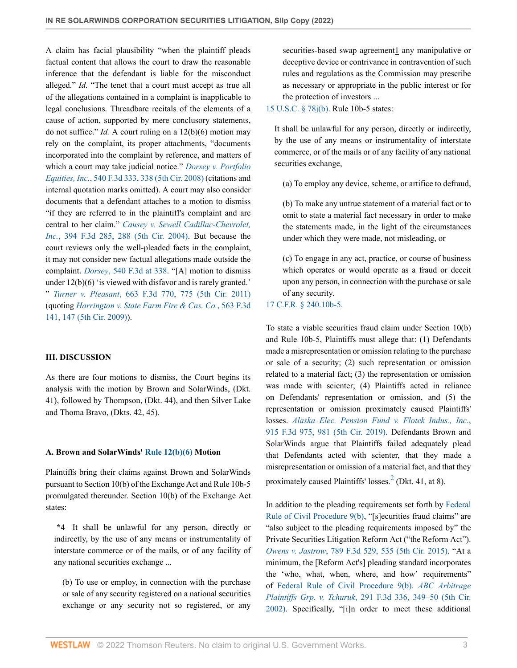A claim has facial plausibility "when the plaintiff pleads factual content that allows the court to draw the reasonable inference that the defendant is liable for the misconduct alleged." *Id.* "The tenet that a court must accept as true all of the allegations contained in a complaint is inapplicable to legal conclusions. Threadbare recitals of the elements of a cause of action, supported by mere conclusory statements, do not suffice." *Id.* A court ruling on a 12(b)(6) motion may rely on the complaint, its proper attachments, "documents incorporated into the complaint by reference, and matters of which a court may take judicial notice." *[Dorsey v. Portfolio](http://www.westlaw.com/Link/Document/FullText?findType=Y&serNum=2016725537&pubNum=0000506&originatingDoc=I419b5ab0b0f111ecbf45df569f0c2bfa&refType=RP&fi=co_pp_sp_506_338&originationContext=document&vr=3.0&rs=cblt1.0&transitionType=DocumentItem&contextData=(sc.Search)#co_pp_sp_506_338) Equities, Inc.*[, 540 F.3d 333, 338 \(5th Cir. 2008\)](http://www.westlaw.com/Link/Document/FullText?findType=Y&serNum=2016725537&pubNum=0000506&originatingDoc=I419b5ab0b0f111ecbf45df569f0c2bfa&refType=RP&fi=co_pp_sp_506_338&originationContext=document&vr=3.0&rs=cblt1.0&transitionType=DocumentItem&contextData=(sc.Search)#co_pp_sp_506_338) (citations and internal quotation marks omitted). A court may also consider documents that a defendant attaches to a motion to dismiss "if they are referred to in the plaintiff's complaint and are central to her claim." *[Causey v. Sewell Cadillac-Chevrolet,](http://www.westlaw.com/Link/Document/FullText?findType=Y&serNum=2005751733&pubNum=0000506&originatingDoc=I419b5ab0b0f111ecbf45df569f0c2bfa&refType=RP&fi=co_pp_sp_506_288&originationContext=document&vr=3.0&rs=cblt1.0&transitionType=DocumentItem&contextData=(sc.Search)#co_pp_sp_506_288) Inc.*[, 394 F.3d 285, 288 \(5th Cir. 2004\).](http://www.westlaw.com/Link/Document/FullText?findType=Y&serNum=2005751733&pubNum=0000506&originatingDoc=I419b5ab0b0f111ecbf45df569f0c2bfa&refType=RP&fi=co_pp_sp_506_288&originationContext=document&vr=3.0&rs=cblt1.0&transitionType=DocumentItem&contextData=(sc.Search)#co_pp_sp_506_288) But because the court reviews only the well-pleaded facts in the complaint, it may not consider new factual allegations made outside the complaint. *Dorsey*[, 540 F.3d at 338.](http://www.westlaw.com/Link/Document/FullText?findType=Y&serNum=2016725537&pubNum=0000506&originatingDoc=I419b5ab0b0f111ecbf45df569f0c2bfa&refType=RP&fi=co_pp_sp_506_338&originationContext=document&vr=3.0&rs=cblt1.0&transitionType=DocumentItem&contextData=(sc.Search)#co_pp_sp_506_338) "[A] motion to dismiss under 12(b)(6) 'is viewed with disfavor and is rarely granted.' " *Turner v. Pleasant*[, 663 F.3d 770, 775 \(5th Cir. 2011\)](http://www.westlaw.com/Link/Document/FullText?findType=Y&serNum=2026556620&pubNum=0000506&originatingDoc=I419b5ab0b0f111ecbf45df569f0c2bfa&refType=RP&fi=co_pp_sp_506_775&originationContext=document&vr=3.0&rs=cblt1.0&transitionType=DocumentItem&contextData=(sc.Search)#co_pp_sp_506_775) (quoting *[Harrington v. State Farm Fire & Cas. Co.](http://www.westlaw.com/Link/Document/FullText?findType=Y&serNum=2018405732&pubNum=0000506&originatingDoc=I419b5ab0b0f111ecbf45df569f0c2bfa&refType=RP&fi=co_pp_sp_506_147&originationContext=document&vr=3.0&rs=cblt1.0&transitionType=DocumentItem&contextData=(sc.Search)#co_pp_sp_506_147)*, 563 F.3d [141, 147 \(5th Cir. 2009\)\)](http://www.westlaw.com/Link/Document/FullText?findType=Y&serNum=2018405732&pubNum=0000506&originatingDoc=I419b5ab0b0f111ecbf45df569f0c2bfa&refType=RP&fi=co_pp_sp_506_147&originationContext=document&vr=3.0&rs=cblt1.0&transitionType=DocumentItem&contextData=(sc.Search)#co_pp_sp_506_147).

# **III. DISCUSSION**

As there are four motions to dismiss, the Court begins its analysis with the motion by Brown and SolarWinds, (Dkt. 41), followed by Thompson, (Dkt. 44), and then Silver Lake and Thoma Bravo, (Dkts. 42, 45).

## **A. Brown and SolarWinds' [Rule 12\(b\)\(6\)](http://www.westlaw.com/Link/Document/FullText?findType=L&pubNum=1000600&cite=USFRCPR12&originatingDoc=I419b5ab0b0f111ecbf45df569f0c2bfa&refType=LQ&originationContext=document&vr=3.0&rs=cblt1.0&transitionType=DocumentItem&contextData=(sc.Search)) Motion**

Plaintiffs bring their claims against Brown and SolarWinds pursuant to Section 10(b) of the Exchange Act and Rule 10b-5 promulgated thereunder. Section 10(b) of the Exchange Act states:

**\*4** It shall be unlawful for any person, directly or indirectly, by the use of any means or instrumentality of interstate commerce or of the mails, or of any facility of any national securities exchange ...

(b) To use or employ, in connection with the purchase or sale of any security registered on a national securities exchange or any security not so registered, or any securities-based swap agreement<sup>1</sup> any manipulative or deceptive device or contrivance in contravention of such rules and regulations as the Commission may prescribe as necessary or appropriate in the public interest or for the protection of investors ...

[15 U.S.C. § 78j\(b\).](http://www.westlaw.com/Link/Document/FullText?findType=L&pubNum=1000546&cite=15USCAS78J&originatingDoc=I419b5ab0b0f111ecbf45df569f0c2bfa&refType=RB&originationContext=document&vr=3.0&rs=cblt1.0&transitionType=DocumentItem&contextData=(sc.Search)#co_pp_a83b000018c76) Rule 10b-5 states:

It shall be unlawful for any person, directly or indirectly, by the use of any means or instrumentality of interstate commerce, or of the mails or of any facility of any national securities exchange,

(a) To employ any device, scheme, or artifice to defraud,

(b) To make any untrue statement of a material fact or to omit to state a material fact necessary in order to make the statements made, in the light of the circumstances under which they were made, not misleading, or

(c) To engage in any act, practice, or course of business which operates or would operate as a fraud or deceit upon any person, in connection with the purchase or sale of any security.

## [17 C.F.R. § 240.10b-5.](http://www.westlaw.com/Link/Document/FullText?findType=L&pubNum=1000547&cite=17CFRS240.10B-5&originatingDoc=I419b5ab0b0f111ecbf45df569f0c2bfa&refType=LQ&originationContext=document&vr=3.0&rs=cblt1.0&transitionType=DocumentItem&contextData=(sc.Search))

To state a viable securities fraud claim under Section 10(b) and Rule 10b-5, Plaintiffs must allege that: (1) Defendants made a misrepresentation or omission relating to the purchase or sale of a security; (2) such representation or omission related to a material fact; (3) the representation or omission was made with scienter; (4) Plaintiffs acted in reliance on Defendants' representation or omission, and (5) the representation or omission proximately caused Plaintiffs' losses. *[Alaska Elec. Pension Fund v. Flotek Indus., Inc.](http://www.westlaw.com/Link/Document/FullText?findType=Y&serNum=2047489655&pubNum=0000506&originatingDoc=I419b5ab0b0f111ecbf45df569f0c2bfa&refType=RP&fi=co_pp_sp_506_981&originationContext=document&vr=3.0&rs=cblt1.0&transitionType=DocumentItem&contextData=(sc.Search)#co_pp_sp_506_981)*, [915 F.3d 975, 981 \(5th Cir. 2019\).](http://www.westlaw.com/Link/Document/FullText?findType=Y&serNum=2047489655&pubNum=0000506&originatingDoc=I419b5ab0b0f111ecbf45df569f0c2bfa&refType=RP&fi=co_pp_sp_506_981&originationContext=document&vr=3.0&rs=cblt1.0&transitionType=DocumentItem&contextData=(sc.Search)#co_pp_sp_506_981) Defendants Brown and SolarWinds argue that Plaintiffs failed adequately plead that Defendants acted with scienter, that they made a misrepresentation or omission of a material fact, and that they proximately caused Plaintiffs' losses.<sup>[2](#page-11-1)</sup> (Dkt. 41, at 8).

<span id="page-2-0"></span>In addition to the pleading requirements set forth by [Federal](http://www.westlaw.com/Link/Document/FullText?findType=L&pubNum=1000600&cite=USFRCPR9&originatingDoc=I419b5ab0b0f111ecbf45df569f0c2bfa&refType=LQ&originationContext=document&vr=3.0&rs=cblt1.0&transitionType=DocumentItem&contextData=(sc.Search)) [Rule of Civil Procedure 9\(b\)](http://www.westlaw.com/Link/Document/FullText?findType=L&pubNum=1000600&cite=USFRCPR9&originatingDoc=I419b5ab0b0f111ecbf45df569f0c2bfa&refType=LQ&originationContext=document&vr=3.0&rs=cblt1.0&transitionType=DocumentItem&contextData=(sc.Search)), "[s]ecurities fraud claims" are "also subject to the pleading requirements imposed by" the Private Securities Litigation Reform Act ("the Reform Act"). *Owens v. Jastrow*[, 789 F.3d 529, 535 \(5th Cir. 2015\)](http://www.westlaw.com/Link/Document/FullText?findType=Y&serNum=2036447582&pubNum=0000506&originatingDoc=I419b5ab0b0f111ecbf45df569f0c2bfa&refType=RP&fi=co_pp_sp_506_535&originationContext=document&vr=3.0&rs=cblt1.0&transitionType=DocumentItem&contextData=(sc.Search)#co_pp_sp_506_535). "At a minimum, the [Reform Act's] pleading standard incorporates the 'who, what, when, where, and how' requirements" of [Federal Rule of Civil Procedure 9\(b\).](http://www.westlaw.com/Link/Document/FullText?findType=L&pubNum=1000600&cite=USFRCPR9&originatingDoc=I419b5ab0b0f111ecbf45df569f0c2bfa&refType=LQ&originationContext=document&vr=3.0&rs=cblt1.0&transitionType=DocumentItem&contextData=(sc.Search)) *[ABC Arbitrage](http://www.westlaw.com/Link/Document/FullText?findType=Y&serNum=2002299999&pubNum=0000506&originatingDoc=I419b5ab0b0f111ecbf45df569f0c2bfa&refType=RP&fi=co_pp_sp_506_349&originationContext=document&vr=3.0&rs=cblt1.0&transitionType=DocumentItem&contextData=(sc.Search)#co_pp_sp_506_349) Plaintiffs Grp. v. Tchuruk*[, 291 F.3d 336, 349–50 \(5th Cir.](http://www.westlaw.com/Link/Document/FullText?findType=Y&serNum=2002299999&pubNum=0000506&originatingDoc=I419b5ab0b0f111ecbf45df569f0c2bfa&refType=RP&fi=co_pp_sp_506_349&originationContext=document&vr=3.0&rs=cblt1.0&transitionType=DocumentItem&contextData=(sc.Search)#co_pp_sp_506_349) [2002\)](http://www.westlaw.com/Link/Document/FullText?findType=Y&serNum=2002299999&pubNum=0000506&originatingDoc=I419b5ab0b0f111ecbf45df569f0c2bfa&refType=RP&fi=co_pp_sp_506_349&originationContext=document&vr=3.0&rs=cblt1.0&transitionType=DocumentItem&contextData=(sc.Search)#co_pp_sp_506_349). Specifically, "[i]n order to meet these additional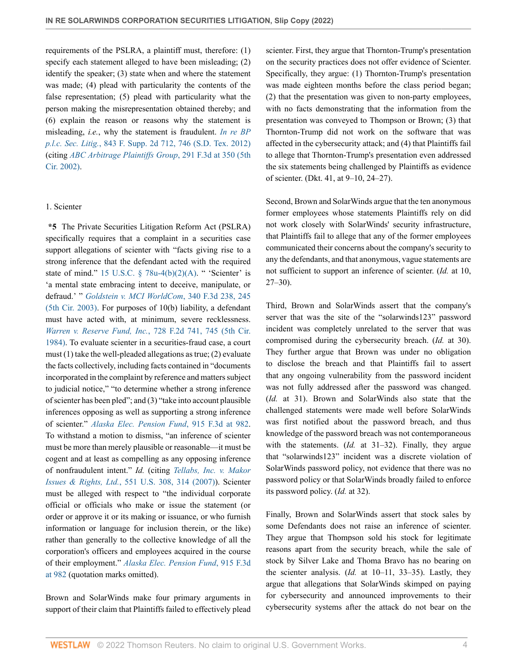requirements of the PSLRA, a plaintiff must, therefore: (1) specify each statement alleged to have been misleading; (2) identify the speaker; (3) state when and where the statement was made; (4) plead with particularity the contents of the false representation; (5) plead with particularity what the person making the misrepresentation obtained thereby; and (6) explain the reason or reasons why the statement is misleading, *i.e.*, why the statement is fraudulent. *[In re BP](http://www.westlaw.com/Link/Document/FullText?findType=Y&serNum=2027084587&pubNum=0004637&originatingDoc=I419b5ab0b0f111ecbf45df569f0c2bfa&refType=RP&fi=co_pp_sp_4637_746&originationContext=document&vr=3.0&rs=cblt1.0&transitionType=DocumentItem&contextData=(sc.Search)#co_pp_sp_4637_746) p.l.c. Sec. Litig.*[, 843 F. Supp. 2d 712, 746 \(S.D. Tex. 2012\)](http://www.westlaw.com/Link/Document/FullText?findType=Y&serNum=2027084587&pubNum=0004637&originatingDoc=I419b5ab0b0f111ecbf45df569f0c2bfa&refType=RP&fi=co_pp_sp_4637_746&originationContext=document&vr=3.0&rs=cblt1.0&transitionType=DocumentItem&contextData=(sc.Search)#co_pp_sp_4637_746) (citing *[ABC Arbitrage Plaintiffs Group](http://www.westlaw.com/Link/Document/FullText?findType=Y&serNum=2002299999&pubNum=0000506&originatingDoc=I419b5ab0b0f111ecbf45df569f0c2bfa&refType=RP&fi=co_pp_sp_506_350&originationContext=document&vr=3.0&rs=cblt1.0&transitionType=DocumentItem&contextData=(sc.Search)#co_pp_sp_506_350)*, 291 F.3d at 350 (5th [Cir. 2002\).](http://www.westlaw.com/Link/Document/FullText?findType=Y&serNum=2002299999&pubNum=0000506&originatingDoc=I419b5ab0b0f111ecbf45df569f0c2bfa&refType=RP&fi=co_pp_sp_506_350&originationContext=document&vr=3.0&rs=cblt1.0&transitionType=DocumentItem&contextData=(sc.Search)#co_pp_sp_506_350)

# 1. Scienter

**\*5** The Private Securities Litigation Reform Act (PSLRA) specifically requires that a complaint in a securities case support allegations of scienter with "facts giving rise to a strong inference that the defendant acted with the required state of mind." 15 U.S.C.  $\S$  78u-4(b)(2)(A). " 'Scienter' is 'a mental state embracing intent to deceive, manipulate, or defraud.' " *[Goldstein v. MCI WorldCom](http://www.westlaw.com/Link/Document/FullText?findType=Y&serNum=2003522957&pubNum=0000506&originatingDoc=I419b5ab0b0f111ecbf45df569f0c2bfa&refType=RP&fi=co_pp_sp_506_245&originationContext=document&vr=3.0&rs=cblt1.0&transitionType=DocumentItem&contextData=(sc.Search)#co_pp_sp_506_245)*, 340 F.3d 238, 245 [\(5th Cir. 2003\).](http://www.westlaw.com/Link/Document/FullText?findType=Y&serNum=2003522957&pubNum=0000506&originatingDoc=I419b5ab0b0f111ecbf45df569f0c2bfa&refType=RP&fi=co_pp_sp_506_245&originationContext=document&vr=3.0&rs=cblt1.0&transitionType=DocumentItem&contextData=(sc.Search)#co_pp_sp_506_245) For purposes of 10(b) liability, a defendant must have acted with, at minimum, severe recklessness. *[Warren v. Reserve Fund, Inc.](http://www.westlaw.com/Link/Document/FullText?findType=Y&serNum=1984113458&pubNum=0000350&originatingDoc=I419b5ab0b0f111ecbf45df569f0c2bfa&refType=RP&fi=co_pp_sp_350_745&originationContext=document&vr=3.0&rs=cblt1.0&transitionType=DocumentItem&contextData=(sc.Search)#co_pp_sp_350_745)*, 728 F.2d 741, 745 (5th Cir. [1984\)](http://www.westlaw.com/Link/Document/FullText?findType=Y&serNum=1984113458&pubNum=0000350&originatingDoc=I419b5ab0b0f111ecbf45df569f0c2bfa&refType=RP&fi=co_pp_sp_350_745&originationContext=document&vr=3.0&rs=cblt1.0&transitionType=DocumentItem&contextData=(sc.Search)#co_pp_sp_350_745). To evaluate scienter in a securities-fraud case, a court must (1) take the well-pleaded allegations as true; (2) evaluate the facts collectively, including facts contained in "documents incorporated in the complaint by reference and matters subject to judicial notice," "to determine whether a strong inference of scienter has been pled"; and (3) "take into account plausible inferences opposing as well as supporting a strong inference of scienter." *[Alaska Elec. Pension Fund](http://www.westlaw.com/Link/Document/FullText?findType=Y&serNum=2047489655&pubNum=0000506&originatingDoc=I419b5ab0b0f111ecbf45df569f0c2bfa&refType=RP&fi=co_pp_sp_506_982&originationContext=document&vr=3.0&rs=cblt1.0&transitionType=DocumentItem&contextData=(sc.Search)#co_pp_sp_506_982)*, 915 F.3d at 982. To withstand a motion to dismiss, "an inference of scienter must be more than merely plausible or reasonable—it must be cogent and at least as compelling as any opposing inference of nonfraudulent intent." *Id.* (citing *[Tellabs, Inc. v. Makor](http://www.westlaw.com/Link/Document/FullText?findType=Y&serNum=2012518448&pubNum=0000780&originatingDoc=I419b5ab0b0f111ecbf45df569f0c2bfa&refType=RP&fi=co_pp_sp_780_314&originationContext=document&vr=3.0&rs=cblt1.0&transitionType=DocumentItem&contextData=(sc.Search)#co_pp_sp_780_314) Issues & Rights, Ltd.*[, 551 U.S. 308, 314 \(2007\)\)](http://www.westlaw.com/Link/Document/FullText?findType=Y&serNum=2012518448&pubNum=0000780&originatingDoc=I419b5ab0b0f111ecbf45df569f0c2bfa&refType=RP&fi=co_pp_sp_780_314&originationContext=document&vr=3.0&rs=cblt1.0&transitionType=DocumentItem&contextData=(sc.Search)#co_pp_sp_780_314). Scienter must be alleged with respect to "the individual corporate official or officials who make or issue the statement (or order or approve it or its making or issuance, or who furnish information or language for inclusion therein, or the like) rather than generally to the collective knowledge of all the corporation's officers and employees acquired in the course of their employment." *[Alaska Elec. Pension Fund](http://www.westlaw.com/Link/Document/FullText?findType=Y&serNum=2047489655&pubNum=0000506&originatingDoc=I419b5ab0b0f111ecbf45df569f0c2bfa&refType=RP&fi=co_pp_sp_506_982&originationContext=document&vr=3.0&rs=cblt1.0&transitionType=DocumentItem&contextData=(sc.Search)#co_pp_sp_506_982)*, 915 F.3d [at 982](http://www.westlaw.com/Link/Document/FullText?findType=Y&serNum=2047489655&pubNum=0000506&originatingDoc=I419b5ab0b0f111ecbf45df569f0c2bfa&refType=RP&fi=co_pp_sp_506_982&originationContext=document&vr=3.0&rs=cblt1.0&transitionType=DocumentItem&contextData=(sc.Search)#co_pp_sp_506_982) (quotation marks omitted).

Brown and SolarWinds make four primary arguments in support of their claim that Plaintiffs failed to effectively plead scienter. First, they argue that Thornton-Trump's presentation on the security practices does not offer evidence of Scienter. Specifically, they argue: (1) Thornton-Trump's presentation was made eighteen months before the class period began; (2) that the presentation was given to non-party employees, with no facts demonstrating that the information from the presentation was conveyed to Thompson or Brown; (3) that Thornton-Trump did not work on the software that was affected in the cybersecurity attack; and (4) that Plaintiffs fail to allege that Thornton-Trump's presentation even addressed the six statements being challenged by Plaintiffs as evidence of scienter. (Dkt. 41, at 9–10, 24–27).

Second, Brown and SolarWinds argue that the ten anonymous former employees whose statements Plaintiffs rely on did not work closely with SolarWinds' security infrastructure, that Plaintiffs fail to allege that any of the former employees communicated their concerns about the company's security to any the defendants, and that anonymous, vague statements are not sufficient to support an inference of scienter. (*Id.* at 10, 27–30).

Third, Brown and SolarWinds assert that the company's server that was the site of the "solarwinds123" password incident was completely unrelated to the server that was compromised during the cybersecurity breach. (*Id.* at 30). They further argue that Brown was under no obligation to disclose the breach and that Plaintiffs fail to assert that any ongoing vulnerability from the password incident was not fully addressed after the password was changed. (*Id.* at 31). Brown and SolarWinds also state that the challenged statements were made well before SolarWinds was first notified about the password breach, and thus knowledge of the password breach was not contemporaneous with the statements. (*Id.* at 31–32). Finally, they argue that "solarwinds123" incident was a discrete violation of SolarWinds password policy, not evidence that there was no password policy or that SolarWinds broadly failed to enforce its password policy. (*Id.* at 32).

Finally, Brown and SolarWinds assert that stock sales by some Defendants does not raise an inference of scienter. They argue that Thompson sold his stock for legitimate reasons apart from the security breach, while the sale of stock by Silver Lake and Thoma Bravo has no bearing on the scienter analysis. (*Id.* at 10–11, 33–35). Lastly, they argue that allegations that SolarWinds skimped on paying for cybersecurity and announced improvements to their cybersecurity systems after the attack do not bear on the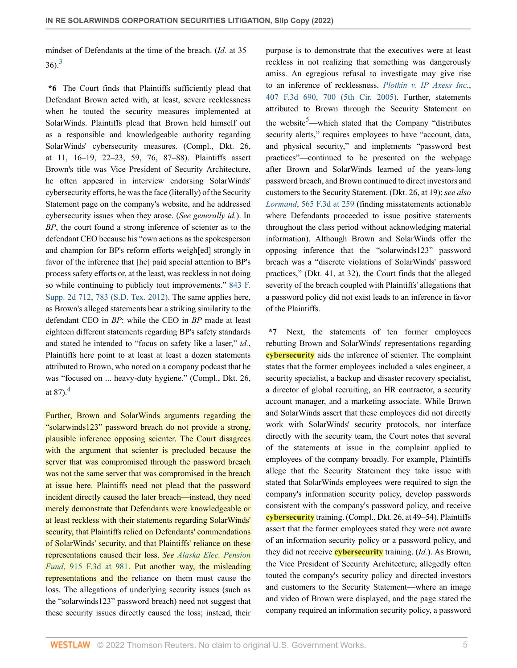<span id="page-4-0"></span>mindset of Defendants at the time of the breach. (*Id.* at 35–  $36$  $36$ <sup>3</sup>

**\*6** The Court finds that Plaintiffs sufficiently plead that Defendant Brown acted with, at least, severe recklessness when he touted the security measures implemented at SolarWinds. Plaintiffs plead that Brown held himself out as a responsible and knowledgeable authority regarding SolarWinds' cybersecurity measures. (Compl., Dkt. 26, at 11, 16–19, 22–23, 59, 76, 87–88). Plaintiffs assert Brown's title was Vice President of Security Architecture, he often appeared in interview endorsing SolarWinds' cybersecurity efforts, he was the face (literally) of the Security Statement page on the company's website, and he addressed cybersecurity issues when they arose. (*See generally id.*). In *BP*, the court found a strong inference of scienter as to the defendant CEO because his "own actions as the spokesperson and champion for BP's reform efforts weigh[ed] strongly in favor of the inference that [he] paid special attention to BP's process safety efforts or, at the least, was reckless in not doing so while continuing to publicly tout improvements." [843 F.](http://www.westlaw.com/Link/Document/FullText?findType=Y&serNum=2027084587&pubNum=0004637&originatingDoc=I419b5ab0b0f111ecbf45df569f0c2bfa&refType=RP&fi=co_pp_sp_4637_783&originationContext=document&vr=3.0&rs=cblt1.0&transitionType=DocumentItem&contextData=(sc.Search)#co_pp_sp_4637_783) [Supp. 2d 712, 783 \(S.D. Tex. 2012\).](http://www.westlaw.com/Link/Document/FullText?findType=Y&serNum=2027084587&pubNum=0004637&originatingDoc=I419b5ab0b0f111ecbf45df569f0c2bfa&refType=RP&fi=co_pp_sp_4637_783&originationContext=document&vr=3.0&rs=cblt1.0&transitionType=DocumentItem&contextData=(sc.Search)#co_pp_sp_4637_783) The same applies here, as Brown's alleged statements bear a striking similarity to the defendant CEO in *BP*: while the CEO in *BP* made at least eighteen different statements regarding BP's safety standards and stated he intended to "focus on safety like a laser," *id.*, Plaintiffs here point to at least at least a dozen statements attributed to Brown, who noted on a company podcast that he was "focused on ... heavy-duty hygiene." (Compl., Dkt. 26, at 87). $^{4}$  $^{4}$  $^{4}$ 

<span id="page-4-1"></span>Further, Brown and SolarWinds arguments regarding the "solarwinds123" password breach do not provide a strong, plausible inference opposing scienter. The Court disagrees with the argument that scienter is precluded because the server that was compromised through the password breach was not the same server that was compromised in the breach at issue here. Plaintiffs need not plead that the password incident directly caused the later breach—instead, they need merely demonstrate that Defendants were knowledgeable or at least reckless with their statements regarding SolarWinds' security, that Plaintiffs relied on Defendants' commendations of SolarWinds' security, and that Plaintiffs' reliance on these representations caused their loss. *See [Alaska Elec. Pension](http://www.westlaw.com/Link/Document/FullText?findType=Y&serNum=2047489655&pubNum=0000506&originatingDoc=I419b5ab0b0f111ecbf45df569f0c2bfa&refType=RP&fi=co_pp_sp_506_981&originationContext=document&vr=3.0&rs=cblt1.0&transitionType=DocumentItem&contextData=(sc.Search)#co_pp_sp_506_981) Fund*[, 915 F.3d at 981.](http://www.westlaw.com/Link/Document/FullText?findType=Y&serNum=2047489655&pubNum=0000506&originatingDoc=I419b5ab0b0f111ecbf45df569f0c2bfa&refType=RP&fi=co_pp_sp_506_981&originationContext=document&vr=3.0&rs=cblt1.0&transitionType=DocumentItem&contextData=(sc.Search)#co_pp_sp_506_981) Put another way, the misleading representations and the reliance on them must cause the loss. The allegations of underlying security issues (such as the "solarwinds123" password breach) need not suggest that these security issues directly caused the loss; instead, their

<span id="page-4-2"></span>purpose is to demonstrate that the executives were at least reckless in not realizing that something was dangerously amiss. An egregious refusal to investigate may give rise to an inference of recklessness. *[Plotkin v. IP Axess Inc.](http://www.westlaw.com/Link/Document/FullText?findType=Y&serNum=2006514276&pubNum=0000506&originatingDoc=I419b5ab0b0f111ecbf45df569f0c2bfa&refType=RP&fi=co_pp_sp_506_700&originationContext=document&vr=3.0&rs=cblt1.0&transitionType=DocumentItem&contextData=(sc.Search)#co_pp_sp_506_700)*, [407 F.3d 690, 700 \(5th Cir. 2005\).](http://www.westlaw.com/Link/Document/FullText?findType=Y&serNum=2006514276&pubNum=0000506&originatingDoc=I419b5ab0b0f111ecbf45df569f0c2bfa&refType=RP&fi=co_pp_sp_506_700&originationContext=document&vr=3.0&rs=cblt1.0&transitionType=DocumentItem&contextData=(sc.Search)#co_pp_sp_506_700) Further, statements attributed to Brown through the Security Statement on the website<sup>[5](#page-11-4)</sup>—which stated that the Company "distributes" security alerts," requires employees to have "account, data, and physical security," and implements "password best practices"—continued to be presented on the webpage after Brown and SolarWinds learned of the years-long password breach, and Brown continued to direct investors and customers to the Security Statement. (Dkt. 26, at 19); *see also Lormand*[, 565 F.3d at 259](http://www.westlaw.com/Link/Document/FullText?findType=Y&serNum=2018570454&pubNum=0000506&originatingDoc=I419b5ab0b0f111ecbf45df569f0c2bfa&refType=RP&fi=co_pp_sp_506_259&originationContext=document&vr=3.0&rs=cblt1.0&transitionType=DocumentItem&contextData=(sc.Search)#co_pp_sp_506_259) (finding misstatements actionable where Defendants proceeded to issue positive statements throughout the class period without acknowledging material information). Although Brown and SolarWinds offer the opposing inference that the "solarwinds123" password breach was a "discrete violations of SolarWinds' password practices," (Dkt. 41, at 32), the Court finds that the alleged severity of the breach coupled with Plaintiffs' allegations that a password policy did not exist leads to an inference in favor of the Plaintiffs.

**\*7** Next, the statements of ten former employees rebutting Brown and SolarWinds' representations regarding **cybersecurity** aids the inference of scienter. The complaint states that the former employees included a sales engineer, a security specialist, a backup and disaster recovery specialist, a director of global recruiting, an HR contractor, a security account manager, and a marketing associate. While Brown and SolarWinds assert that these employees did not directly work with SolarWinds' security protocols, nor interface directly with the security team, the Court notes that several of the statements at issue in the complaint applied to employees of the company broadly. For example, Plaintiffs allege that the Security Statement they take issue with stated that SolarWinds employees were required to sign the company's information security policy, develop passwords consistent with the company's password policy, and receive **cybersecurity** training. (Compl., Dkt. 26, at 49–54). Plaintiffs assert that the former employees stated they were not aware of an information security policy or a password policy, and they did not receive **cybersecurity** training. (*Id.*). As Brown, the Vice President of Security Architecture, allegedly often touted the company's security policy and directed investors and customers to the Security Statement—where an image and video of Brown were displayed, and the page stated the company required an information security policy, a password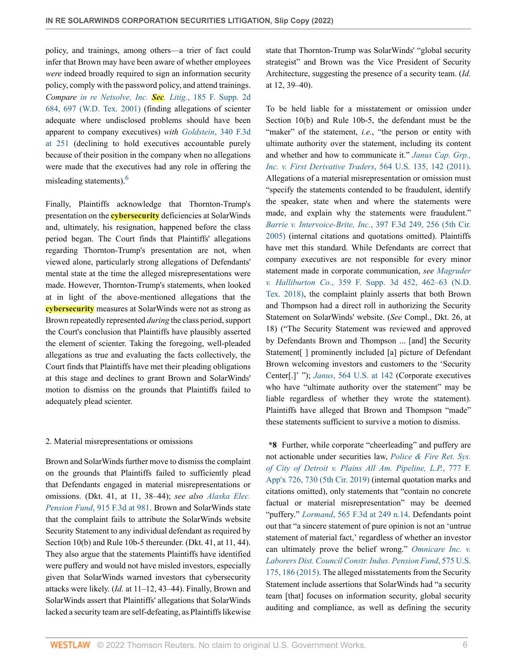policy, and trainings, among others—a trier of fact could infer that Brown may have been aware of whether employees *were* indeed broadly required to sign an information security policy, comply with the password policy, and attend trainings. *Compare [in re Netsolve, Inc.](http://www.westlaw.com/Link/Document/FullText?findType=Y&serNum=2002128966&pubNum=0004637&originatingDoc=I419b5ab0b0f111ecbf45df569f0c2bfa&refType=RP&fi=co_pp_sp_4637_697&originationContext=document&vr=3.0&rs=cblt1.0&transitionType=DocumentItem&contextData=(sc.Search)#co_pp_sp_4637_697) Sec. Litig.*, 185 F. Supp. 2d [684, 697 \(W.D. Tex. 2001\)](http://www.westlaw.com/Link/Document/FullText?findType=Y&serNum=2002128966&pubNum=0004637&originatingDoc=I419b5ab0b0f111ecbf45df569f0c2bfa&refType=RP&fi=co_pp_sp_4637_697&originationContext=document&vr=3.0&rs=cblt1.0&transitionType=DocumentItem&contextData=(sc.Search)#co_pp_sp_4637_697) (finding allegations of scienter adequate where undisclosed problems should have been apparent to company executives) *with Goldstein*[, 340 F.3d](http://www.westlaw.com/Link/Document/FullText?findType=Y&serNum=2003522957&pubNum=0000506&originatingDoc=I419b5ab0b0f111ecbf45df569f0c2bfa&refType=RP&fi=co_pp_sp_506_251&originationContext=document&vr=3.0&rs=cblt1.0&transitionType=DocumentItem&contextData=(sc.Search)#co_pp_sp_506_251) [at 251](http://www.westlaw.com/Link/Document/FullText?findType=Y&serNum=2003522957&pubNum=0000506&originatingDoc=I419b5ab0b0f111ecbf45df569f0c2bfa&refType=RP&fi=co_pp_sp_506_251&originationContext=document&vr=3.0&rs=cblt1.0&transitionType=DocumentItem&contextData=(sc.Search)#co_pp_sp_506_251) (declining to hold executives accountable purely because of their position in the company when no allegations were made that the executives had any role in offering the misleading statements). $<sup>6</sup>$  $<sup>6</sup>$  $<sup>6</sup>$ </sup>

<span id="page-5-0"></span>Finally, Plaintiffs acknowledge that Thornton-Trump's presentation on the **cybersecurity** deficiencies at SolarWinds and, ultimately, his resignation, happened before the class period began. The Court finds that Plaintiffs' allegations regarding Thornton-Trump's presentation are not, when viewed alone, particularly strong allegations of Defendants' mental state at the time the alleged misrepresentations were made. However, Thornton-Trump's statements, when looked at in light of the above-mentioned allegations that the **cybersecurity** measures at SolarWinds were not as strong as Brown repeatedly represented *during* the class period, support the Court's conclusion that Plaintiffs have plausibly asserted the element of scienter. Taking the foregoing, well-pleaded allegations as true and evaluating the facts collectively, the Court finds that Plaintiffs have met their pleading obligations at this stage and declines to grant Brown and SolarWinds' motion to dismiss on the grounds that Plaintiffs failed to adequately plead scienter.

# 2. Material misrepresentations or omissions

Brown and SolarWinds further move to dismiss the complaint on the grounds that Plaintiffs failed to sufficiently plead that Defendants engaged in material misrepresentations or omissions. (Dkt. 41, at 11, 38–44); *see also [Alaska Elec.](http://www.westlaw.com/Link/Document/FullText?findType=Y&serNum=2047489655&pubNum=0000506&originatingDoc=I419b5ab0b0f111ecbf45df569f0c2bfa&refType=RP&fi=co_pp_sp_506_981&originationContext=document&vr=3.0&rs=cblt1.0&transitionType=DocumentItem&contextData=(sc.Search)#co_pp_sp_506_981) Pension Fund*[, 915 F.3d at 981](http://www.westlaw.com/Link/Document/FullText?findType=Y&serNum=2047489655&pubNum=0000506&originatingDoc=I419b5ab0b0f111ecbf45df569f0c2bfa&refType=RP&fi=co_pp_sp_506_981&originationContext=document&vr=3.0&rs=cblt1.0&transitionType=DocumentItem&contextData=(sc.Search)#co_pp_sp_506_981). Brown and SolarWinds state that the complaint fails to attribute the SolarWinds website Security Statement to any individual defendant as required by Section 10(b) and Rule 10b-5 thereunder. (Dkt. 41, at 11, 44). They also argue that the statements Plaintiffs have identified were puffery and would not have misled investors, especially given that SolarWinds warned investors that cybersecurity attacks were likely. (*Id.* at 11–12, 43–44). Finally, Brown and SolarWinds assert that Plaintiffs' allegations that SolarWinds lacked a security team are self-defeating, as Plaintiffs likewise

state that Thornton-Trump was SolarWinds' "global security strategist" and Brown was the Vice President of Security Architecture, suggesting the presence of a security team. (*Id.* at 12, 39–40).

To be held liable for a misstatement or omission under Section 10(b) and Rule 10b-5, the defendant must be the "maker" of the statement, *i.e.*, "the person or entity with ultimate authority over the statement, including its content and whether and how to communicate it." *[Janus Cap. Grp.,](http://www.westlaw.com/Link/Document/FullText?findType=Y&serNum=2025477155&pubNum=0000780&originatingDoc=I419b5ab0b0f111ecbf45df569f0c2bfa&refType=RP&fi=co_pp_sp_780_142&originationContext=document&vr=3.0&rs=cblt1.0&transitionType=DocumentItem&contextData=(sc.Search)#co_pp_sp_780_142) [Inc. v. First Derivative Traders](http://www.westlaw.com/Link/Document/FullText?findType=Y&serNum=2025477155&pubNum=0000780&originatingDoc=I419b5ab0b0f111ecbf45df569f0c2bfa&refType=RP&fi=co_pp_sp_780_142&originationContext=document&vr=3.0&rs=cblt1.0&transitionType=DocumentItem&contextData=(sc.Search)#co_pp_sp_780_142)*, 564 U.S. 135, 142 (2011). Allegations of a material misrepresentation or omission must "specify the statements contended to be fraudulent, identify the speaker, state when and where the statements were made, and explain why the statements were fraudulent." *[Barrie v. Intervoice-Brite, Inc.](http://www.westlaw.com/Link/Document/FullText?findType=Y&serNum=2005967379&pubNum=0000506&originatingDoc=I419b5ab0b0f111ecbf45df569f0c2bfa&refType=RP&fi=co_pp_sp_506_256&originationContext=document&vr=3.0&rs=cblt1.0&transitionType=DocumentItem&contextData=(sc.Search)#co_pp_sp_506_256)*, 397 F.3d 249, 256 (5th Cir. [2005\)](http://www.westlaw.com/Link/Document/FullText?findType=Y&serNum=2005967379&pubNum=0000506&originatingDoc=I419b5ab0b0f111ecbf45df569f0c2bfa&refType=RP&fi=co_pp_sp_506_256&originationContext=document&vr=3.0&rs=cblt1.0&transitionType=DocumentItem&contextData=(sc.Search)#co_pp_sp_506_256) (internal citations and quotations omitted). Plaintiffs have met this standard. While Defendants are correct that company executives are not responsible for every minor statement made in corporate communication, *see [Magruder](http://www.westlaw.com/Link/Document/FullText?findType=Y&serNum=2047600510&pubNum=0007903&originatingDoc=I419b5ab0b0f111ecbf45df569f0c2bfa&refType=RP&fi=co_pp_sp_7903_462&originationContext=document&vr=3.0&rs=cblt1.0&transitionType=DocumentItem&contextData=(sc.Search)#co_pp_sp_7903_462) v. Halliburton Co.*[, 359 F. Supp. 3d 452, 462–63 \(N.D.](http://www.westlaw.com/Link/Document/FullText?findType=Y&serNum=2047600510&pubNum=0007903&originatingDoc=I419b5ab0b0f111ecbf45df569f0c2bfa&refType=RP&fi=co_pp_sp_7903_462&originationContext=document&vr=3.0&rs=cblt1.0&transitionType=DocumentItem&contextData=(sc.Search)#co_pp_sp_7903_462) [Tex. 2018\),](http://www.westlaw.com/Link/Document/FullText?findType=Y&serNum=2047600510&pubNum=0007903&originatingDoc=I419b5ab0b0f111ecbf45df569f0c2bfa&refType=RP&fi=co_pp_sp_7903_462&originationContext=document&vr=3.0&rs=cblt1.0&transitionType=DocumentItem&contextData=(sc.Search)#co_pp_sp_7903_462) the complaint plainly asserts that both Brown and Thompson had a direct roll in authorizing the Security Statement on SolarWinds' website. (*See* Compl., Dkt. 26, at 18) ("The Security Statement was reviewed and approved by Defendants Brown and Thompson ... [and] the Security Statement[ ] prominently included [a] picture of Defendant Brown welcoming investors and customers to the 'Security Center[.]' "); *Janus*[, 564 U.S. at 142](http://www.westlaw.com/Link/Document/FullText?findType=Y&serNum=2025477155&pubNum=0000780&originatingDoc=I419b5ab0b0f111ecbf45df569f0c2bfa&refType=RP&fi=co_pp_sp_780_142&originationContext=document&vr=3.0&rs=cblt1.0&transitionType=DocumentItem&contextData=(sc.Search)#co_pp_sp_780_142) (Corporate executives who have "ultimate authority over the statement" may be liable regardless of whether they wrote the statement). Plaintiffs have alleged that Brown and Thompson "made" these statements sufficient to survive a motion to dismiss.

**\*8** Further, while corporate "cheerleading" and puffery are not actionable under securities law, *[Police & Fire Ret. Sys.](http://www.westlaw.com/Link/Document/FullText?findType=Y&serNum=2048716602&pubNum=0006538&originatingDoc=I419b5ab0b0f111ecbf45df569f0c2bfa&refType=RP&fi=co_pp_sp_6538_730&originationContext=document&vr=3.0&rs=cblt1.0&transitionType=DocumentItem&contextData=(sc.Search)#co_pp_sp_6538_730) [of City of Detroit v. Plains All Am. Pipeline, L.P.](http://www.westlaw.com/Link/Document/FullText?findType=Y&serNum=2048716602&pubNum=0006538&originatingDoc=I419b5ab0b0f111ecbf45df569f0c2bfa&refType=RP&fi=co_pp_sp_6538_730&originationContext=document&vr=3.0&rs=cblt1.0&transitionType=DocumentItem&contextData=(sc.Search)#co_pp_sp_6538_730)*, 777 F. [App'x 726, 730 \(5th Cir. 2019\)](http://www.westlaw.com/Link/Document/FullText?findType=Y&serNum=2048716602&pubNum=0006538&originatingDoc=I419b5ab0b0f111ecbf45df569f0c2bfa&refType=RP&fi=co_pp_sp_6538_730&originationContext=document&vr=3.0&rs=cblt1.0&transitionType=DocumentItem&contextData=(sc.Search)#co_pp_sp_6538_730) (internal quotation marks and citations omitted), only statements that "contain no concrete factual or material misrepresentation" may be deemed "puffery." *Lormand*[, 565 F.3d at 249 n.14.](http://www.westlaw.com/Link/Document/FullText?findType=Y&serNum=2018570454&pubNum=0000506&originatingDoc=I419b5ab0b0f111ecbf45df569f0c2bfa&refType=RP&fi=co_pp_sp_506_249&originationContext=document&vr=3.0&rs=cblt1.0&transitionType=DocumentItem&contextData=(sc.Search)#co_pp_sp_506_249) Defendants point out that "a sincere statement of pure opinion is not an 'untrue statement of material fact,' regardless of whether an investor can ultimately prove the belief wrong." *[Omnicare Inc. v.](http://www.westlaw.com/Link/Document/FullText?findType=Y&serNum=2035661902&pubNum=0000780&originatingDoc=I419b5ab0b0f111ecbf45df569f0c2bfa&refType=RP&fi=co_pp_sp_780_186&originationContext=document&vr=3.0&rs=cblt1.0&transitionType=DocumentItem&contextData=(sc.Search)#co_pp_sp_780_186) [Laborers Dist. Council Constr. Indus. Pension Fund](http://www.westlaw.com/Link/Document/FullText?findType=Y&serNum=2035661902&pubNum=0000780&originatingDoc=I419b5ab0b0f111ecbf45df569f0c2bfa&refType=RP&fi=co_pp_sp_780_186&originationContext=document&vr=3.0&rs=cblt1.0&transitionType=DocumentItem&contextData=(sc.Search)#co_pp_sp_780_186)*, 575 U.S. [175, 186 \(2015\)](http://www.westlaw.com/Link/Document/FullText?findType=Y&serNum=2035661902&pubNum=0000780&originatingDoc=I419b5ab0b0f111ecbf45df569f0c2bfa&refType=RP&fi=co_pp_sp_780_186&originationContext=document&vr=3.0&rs=cblt1.0&transitionType=DocumentItem&contextData=(sc.Search)#co_pp_sp_780_186). The alleged misstatements from the Security Statement include assertions that SolarWinds had "a security team [that] focuses on information security, global security auditing and compliance, as well as defining the security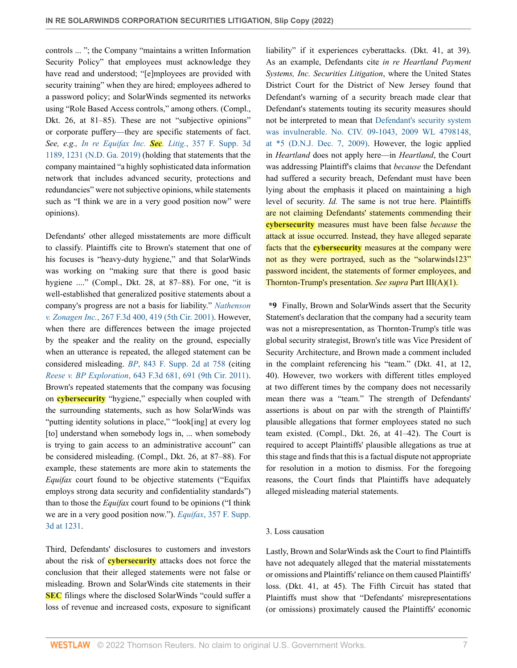controls ... "; the Company "maintains a written Information Security Policy" that employees must acknowledge they have read and understood; "[e]mployees are provided with security training" when they are hired; employees adhered to a password policy; and SolarWinds segmented its networks using "Role Based Access controls," among others. (Compl., Dkt. 26, at 81–85). These are not "subjective opinions" or corporate puffery—they are specific statements of fact. *See, e.g., [In re Equifax Inc.](http://www.westlaw.com/Link/Document/FullText?findType=Y&serNum=2047411839&pubNum=0007903&originatingDoc=I419b5ab0b0f111ecbf45df569f0c2bfa&refType=RP&fi=co_pp_sp_7903_1231&originationContext=document&vr=3.0&rs=cblt1.0&transitionType=DocumentItem&contextData=(sc.Search)#co_pp_sp_7903_1231) Sec. Litig.*, 357 F. Supp. 3d [1189, 1231 \(N.D. Ga. 2019\)](http://www.westlaw.com/Link/Document/FullText?findType=Y&serNum=2047411839&pubNum=0007903&originatingDoc=I419b5ab0b0f111ecbf45df569f0c2bfa&refType=RP&fi=co_pp_sp_7903_1231&originationContext=document&vr=3.0&rs=cblt1.0&transitionType=DocumentItem&contextData=(sc.Search)#co_pp_sp_7903_1231) (holding that statements that the company maintained "a highly sophisticated data information network that includes advanced security, protections and redundancies" were not subjective opinions, while statements such as "I think we are in a very good position now" were opinions).

Defendants' other alleged misstatements are more difficult to classify. Plaintiffs cite to Brown's statement that one of his focuses is "heavy-duty hygiene," and that SolarWinds was working on "making sure that there is good basic hygiene ...." (Compl., Dkt. 28, at 87–88). For one, "it is well-established that generalized positive statements about a company's progress are not a basis for liability." *[Nathenson](http://www.westlaw.com/Link/Document/FullText?findType=Y&serNum=2001818589&pubNum=0000506&originatingDoc=I419b5ab0b0f111ecbf45df569f0c2bfa&refType=RP&fi=co_pp_sp_506_419&originationContext=document&vr=3.0&rs=cblt1.0&transitionType=DocumentItem&contextData=(sc.Search)#co_pp_sp_506_419) v. Zonagen Inc.*[, 267 F.3d 400, 419 \(5th Cir. 2001\)](http://www.westlaw.com/Link/Document/FullText?findType=Y&serNum=2001818589&pubNum=0000506&originatingDoc=I419b5ab0b0f111ecbf45df569f0c2bfa&refType=RP&fi=co_pp_sp_506_419&originationContext=document&vr=3.0&rs=cblt1.0&transitionType=DocumentItem&contextData=(sc.Search)#co_pp_sp_506_419). However, when there are differences between the image projected by the speaker and the reality on the ground, especially when an utterance is repeated, the alleged statement can be considered misleading. *BP*[, 843 F. Supp. 2d at 758](http://www.westlaw.com/Link/Document/FullText?findType=Y&serNum=2027084587&pubNum=0004637&originatingDoc=I419b5ab0b0f111ecbf45df569f0c2bfa&refType=RP&fi=co_pp_sp_4637_758&originationContext=document&vr=3.0&rs=cblt1.0&transitionType=DocumentItem&contextData=(sc.Search)#co_pp_sp_4637_758) (citing *Reese v. BP Exploration*[, 643 F.3d 681, 691 \(9th Cir. 2011\)](http://www.westlaw.com/Link/Document/FullText?findType=Y&serNum=2025577849&pubNum=0000506&originatingDoc=I419b5ab0b0f111ecbf45df569f0c2bfa&refType=RP&fi=co_pp_sp_506_691&originationContext=document&vr=3.0&rs=cblt1.0&transitionType=DocumentItem&contextData=(sc.Search)#co_pp_sp_506_691). Brown's repeated statements that the company was focusing on **cybersecurity** "hygiene," especially when coupled with the surrounding statements, such as how SolarWinds was "putting identity solutions in place," "look[ing] at every log [to] understand when somebody logs in, ... when somebody is trying to gain access to an administrative account" can be considered misleading. (Compl., Dkt. 26, at 87–88). For example, these statements are more akin to statements the *Equifax* court found to be objective statements ("Equifax employs strong data security and confidentiality standards") than to those the *Equifax* court found to be opinions ("I think we are in a very good position now."). *Equifax*[, 357 F. Supp.](http://www.westlaw.com/Link/Document/FullText?findType=Y&serNum=2047411839&pubNum=0007903&originatingDoc=I419b5ab0b0f111ecbf45df569f0c2bfa&refType=RP&fi=co_pp_sp_7903_1231&originationContext=document&vr=3.0&rs=cblt1.0&transitionType=DocumentItem&contextData=(sc.Search)#co_pp_sp_7903_1231) [3d at 1231](http://www.westlaw.com/Link/Document/FullText?findType=Y&serNum=2047411839&pubNum=0007903&originatingDoc=I419b5ab0b0f111ecbf45df569f0c2bfa&refType=RP&fi=co_pp_sp_7903_1231&originationContext=document&vr=3.0&rs=cblt1.0&transitionType=DocumentItem&contextData=(sc.Search)#co_pp_sp_7903_1231).

Third, Defendants' disclosures to customers and investors about the risk of **cybersecurity** attacks does not force the conclusion that their alleged statements were not false or misleading. Brown and SolarWinds cite statements in their **SEC** filings where the disclosed SolarWinds "could suffer a loss of revenue and increased costs, exposure to significant liability" if it experiences cyberattacks. (Dkt. 41, at 39). As an example, Defendants cite *in re Heartland Payment Systems, Inc. Securities Litigation*, where the United States District Court for the District of New Jersey found that Defendant's warning of a security breach made clear that Defendant's statements touting its security measures should not be interpreted to mean that [Defendant's security system](http://www.westlaw.com/Link/Document/FullText?findType=Y&serNum=2020721623&pubNum=0000999&originatingDoc=I419b5ab0b0f111ecbf45df569f0c2bfa&refType=RP&fi=co_pp_sp_999_5&originationContext=document&vr=3.0&rs=cblt1.0&transitionType=DocumentItem&contextData=(sc.Search)#co_pp_sp_999_5) [was invulnerable. No. CIV. 09-1043, 2009 WL 4798148,](http://www.westlaw.com/Link/Document/FullText?findType=Y&serNum=2020721623&pubNum=0000999&originatingDoc=I419b5ab0b0f111ecbf45df569f0c2bfa&refType=RP&fi=co_pp_sp_999_5&originationContext=document&vr=3.0&rs=cblt1.0&transitionType=DocumentItem&contextData=(sc.Search)#co_pp_sp_999_5) [at \\*5 \(D.N.J. Dec. 7, 2009\)](http://www.westlaw.com/Link/Document/FullText?findType=Y&serNum=2020721623&pubNum=0000999&originatingDoc=I419b5ab0b0f111ecbf45df569f0c2bfa&refType=RP&fi=co_pp_sp_999_5&originationContext=document&vr=3.0&rs=cblt1.0&transitionType=DocumentItem&contextData=(sc.Search)#co_pp_sp_999_5). However, the logic applied in *Heartland* does not apply here—in *Heartland*, the Court was addressing Plaintiff's claims that *because* the Defendant had suffered a security breach, Defendant must have been lying about the emphasis it placed on maintaining a high level of security. *Id.* The same is not true here. **Plaintiffs** are not claiming Defendants' statements commending their **cybersecurity** measures must have been false *because* the attack at issue occurred. Instead, they have alleged separate facts that the **cybersecurity** measures at the company were not as they were portrayed, such as the "solarwinds123" password incident, the statements of former employees, and Thornton-Trump's presentation. *See supra* Part III(A)(1).

**\*9** Finally, Brown and SolarWinds assert that the Security Statement's declaration that the company had a security team was not a misrepresentation, as Thornton-Trump's title was global security strategist, Brown's title was Vice President of Security Architecture, and Brown made a comment included in the complaint referencing his "team." (Dkt. 41, at 12, 40). However, two workers with different titles employed at two different times by the company does not necessarily mean there was a "team." The strength of Defendants' assertions is about on par with the strength of Plaintiffs' plausible allegations that former employees stated no such team existed. (Compl., Dkt. 26, at 41–42). The Court is required to accept Plaintiffs' plausible allegations as true at this stage and finds that this is a factual dispute not appropriate for resolution in a motion to dismiss. For the foregoing reasons, the Court finds that Plaintiffs have adequately alleged misleading material statements.

### 3. Loss causation

Lastly, Brown and SolarWinds ask the Court to find Plaintiffs have not adequately alleged that the material misstatements or omissions and Plaintiffs' reliance on them caused Plaintiffs' loss. (Dkt. 41, at 45). The Fifth Circuit has stated that Plaintiffs must show that "Defendants' misrepresentations (or omissions) proximately caused the Plaintiffs' economic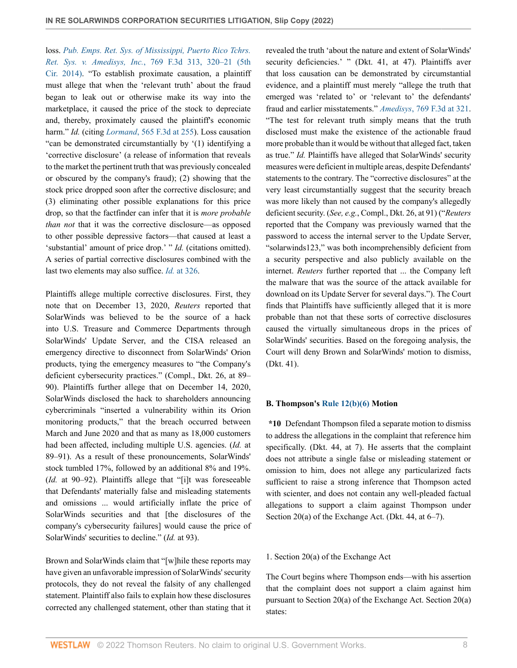loss. *[Pub. Emps. Ret. Sys. of Mississippi, Puerto Rico Tchrs.](http://www.westlaw.com/Link/Document/FullText?findType=Y&serNum=2034493108&pubNum=0000506&originatingDoc=I419b5ab0b0f111ecbf45df569f0c2bfa&refType=RP&fi=co_pp_sp_506_320&originationContext=document&vr=3.0&rs=cblt1.0&transitionType=DocumentItem&contextData=(sc.Search)#co_pp_sp_506_320) Ret. Sys. v. Amedisys, Inc.*[, 769 F.3d 313, 320–21 \(5th](http://www.westlaw.com/Link/Document/FullText?findType=Y&serNum=2034493108&pubNum=0000506&originatingDoc=I419b5ab0b0f111ecbf45df569f0c2bfa&refType=RP&fi=co_pp_sp_506_320&originationContext=document&vr=3.0&rs=cblt1.0&transitionType=DocumentItem&contextData=(sc.Search)#co_pp_sp_506_320) [Cir. 2014\)](http://www.westlaw.com/Link/Document/FullText?findType=Y&serNum=2034493108&pubNum=0000506&originatingDoc=I419b5ab0b0f111ecbf45df569f0c2bfa&refType=RP&fi=co_pp_sp_506_320&originationContext=document&vr=3.0&rs=cblt1.0&transitionType=DocumentItem&contextData=(sc.Search)#co_pp_sp_506_320). "To establish proximate causation, a plaintiff must allege that when the 'relevant truth' about the fraud began to leak out or otherwise make its way into the marketplace, it caused the price of the stock to depreciate and, thereby, proximately caused the plaintiff's economic harm." *Id.* (citing *Lormand*[, 565 F.3d at 255\)](http://www.westlaw.com/Link/Document/FullText?findType=Y&serNum=2018570454&pubNum=0000506&originatingDoc=I419b5ab0b0f111ecbf45df569f0c2bfa&refType=RP&fi=co_pp_sp_506_255&originationContext=document&vr=3.0&rs=cblt1.0&transitionType=DocumentItem&contextData=(sc.Search)#co_pp_sp_506_255). Loss causation "can be demonstrated circumstantially by '(1) identifying a 'corrective disclosure' (a release of information that reveals to the market the pertinent truth that was previously concealed or obscured by the company's fraud); (2) showing that the stock price dropped soon after the corrective disclosure; and (3) eliminating other possible explanations for this price drop, so that the factfinder can infer that it is *more probable than not* that it was the corrective disclosure—as opposed to other possible depressive factors—that caused at least a 'substantial' amount of price drop.' " *Id.* (citations omitted). A series of partial corrective disclosures combined with the last two elements may also suffice. *Id.* [at 326](http://www.westlaw.com/Link/Document/FullText?findType=Y&serNum=2034493108&pubNum=0000506&originatingDoc=I419b5ab0b0f111ecbf45df569f0c2bfa&refType=RP&fi=co_pp_sp_506_326&originationContext=document&vr=3.0&rs=cblt1.0&transitionType=DocumentItem&contextData=(sc.Search)#co_pp_sp_506_326).

Plaintiffs allege multiple corrective disclosures. First, they note that on December 13, 2020, *Reuters* reported that SolarWinds was believed to be the source of a hack into U.S. Treasure and Commerce Departments through SolarWinds' Update Server, and the CISA released an emergency directive to disconnect from SolarWinds' Orion products, tying the emergency measures to "the Company's deficient cybersecurity practices." (Compl., Dkt. 26, at 89– 90). Plaintiffs further allege that on December 14, 2020, SolarWinds disclosed the hack to shareholders announcing cybercriminals "inserted a vulnerability within its Orion monitoring products," that the breach occurred between March and June 2020 and that as many as 18,000 customers had been affected, including multiple U.S. agencies. (*Id.* at 89–91). As a result of these pronouncements, SolarWinds' stock tumbled 17%, followed by an additional 8% and 19%. (*Id.* at 90–92). Plaintiffs allege that "[i]t was foreseeable that Defendants' materially false and misleading statements and omissions ... would artificially inflate the price of SolarWinds securities and that [the disclosures of the company's cybersecurity failures] would cause the price of SolarWinds' securities to decline." (*Id.* at 93).

Brown and SolarWinds claim that "[w]hile these reports may have given an unfavorable impression of SolarWinds' security protocols, they do not reveal the falsity of any challenged statement. Plaintiff also fails to explain how these disclosures corrected any challenged statement, other than stating that it revealed the truth 'about the nature and extent of SolarWinds' security deficiencies.' " (Dkt. 41, at 47). Plaintiffs aver that loss causation can be demonstrated by circumstantial evidence, and a plaintiff must merely "allege the truth that emerged was 'related to' or 'relevant to' the defendants' fraud and earlier misstatements." *Amedisys*[, 769 F.3d at 321.](http://www.westlaw.com/Link/Document/FullText?findType=Y&serNum=2034493108&pubNum=0000506&originatingDoc=I419b5ab0b0f111ecbf45df569f0c2bfa&refType=RP&fi=co_pp_sp_506_321&originationContext=document&vr=3.0&rs=cblt1.0&transitionType=DocumentItem&contextData=(sc.Search)#co_pp_sp_506_321) "The test for relevant truth simply means that the truth disclosed must make the existence of the actionable fraud more probable than it would be without that alleged fact, taken as true." *Id.* Plaintiffs have alleged that SolarWinds' security measures were deficient in multiple areas, despite Defendants' statements to the contrary. The "corrective disclosures" at the very least circumstantially suggest that the security breach was more likely than not caused by the company's allegedly deficient security. (*See, e.g.*, Compl., Dkt. 26, at 91) ("*Reuters* reported that the Company was previously warned that the password to access the internal server to the Update Server, "solarwinds123," was both incomprehensibly deficient from a security perspective and also publicly available on the internet. *Reuters* further reported that ... the Company left the malware that was the source of the attack available for download on its Update Server for several days."). The Court finds that Plaintiffs have sufficiently alleged that it is more probable than not that these sorts of corrective disclosures caused the virtually simultaneous drops in the prices of SolarWinds' securities. Based on the foregoing analysis, the Court will deny Brown and SolarWinds' motion to dismiss, (Dkt. 41).

# **B. Thompson's [Rule 12\(b\)\(6\)](http://www.westlaw.com/Link/Document/FullText?findType=L&pubNum=1000600&cite=USFRCPR12&originatingDoc=I419b5ab0b0f111ecbf45df569f0c2bfa&refType=LQ&originationContext=document&vr=3.0&rs=cblt1.0&transitionType=DocumentItem&contextData=(sc.Search)) Motion**

**\*10** Defendant Thompson filed a separate motion to dismiss to address the allegations in the complaint that reference him specifically. (Dkt. 44, at 7). He asserts that the complaint does not attribute a single false or misleading statement or omission to him, does not allege any particularized facts sufficient to raise a strong inference that Thompson acted with scienter, and does not contain any well-pleaded factual allegations to support a claim against Thompson under Section 20(a) of the Exchange Act. (Dkt. 44, at 6–7).

## 1. Section 20(a) of the Exchange Act

The Court begins where Thompson ends—with his assertion that the complaint does not support a claim against him pursuant to Section 20(a) of the Exchange Act. Section 20(a) states: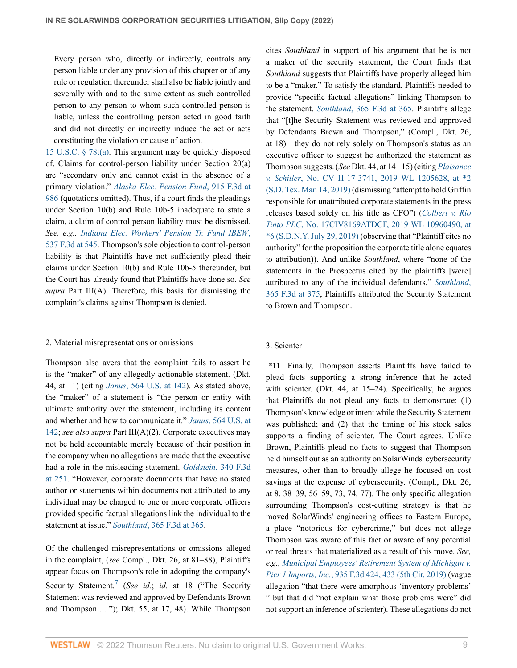Every person who, directly or indirectly, controls any person liable under any provision of this chapter or of any rule or regulation thereunder shall also be liable jointly and severally with and to the same extent as such controlled person to any person to whom such controlled person is liable, unless the controlling person acted in good faith and did not directly or indirectly induce the act or acts constituting the violation or cause of action.

[15 U.S.C. § 78t\(a\)](http://www.westlaw.com/Link/Document/FullText?findType=L&pubNum=1000546&cite=15USCAS78T&originatingDoc=I419b5ab0b0f111ecbf45df569f0c2bfa&refType=RB&originationContext=document&vr=3.0&rs=cblt1.0&transitionType=DocumentItem&contextData=(sc.Search)#co_pp_8b3b0000958a4). This argument may be quickly disposed of. Claims for control-person liability under Section 20(a) are "secondary only and cannot exist in the absence of a primary violation." *[Alaska Elec. Pension Fund](http://www.westlaw.com/Link/Document/FullText?findType=Y&serNum=2047489655&pubNum=0000506&originatingDoc=I419b5ab0b0f111ecbf45df569f0c2bfa&refType=RP&fi=co_pp_sp_506_986&originationContext=document&vr=3.0&rs=cblt1.0&transitionType=DocumentItem&contextData=(sc.Search)#co_pp_sp_506_986)*, 915 F.3d at [986](http://www.westlaw.com/Link/Document/FullText?findType=Y&serNum=2047489655&pubNum=0000506&originatingDoc=I419b5ab0b0f111ecbf45df569f0c2bfa&refType=RP&fi=co_pp_sp_506_986&originationContext=document&vr=3.0&rs=cblt1.0&transitionType=DocumentItem&contextData=(sc.Search)#co_pp_sp_506_986) (quotations omitted). Thus, if a court finds the pleadings under Section 10(b) and Rule 10b-5 inadequate to state a claim, a claim of control person liability must be dismissed. *See, e.g., [Indiana Elec. Workers' Pension Tr. Fund IBEW](http://www.westlaw.com/Link/Document/FullText?findType=Y&serNum=2016632450&pubNum=0000506&originatingDoc=I419b5ab0b0f111ecbf45df569f0c2bfa&refType=RP&fi=co_pp_sp_506_545&originationContext=document&vr=3.0&rs=cblt1.0&transitionType=DocumentItem&contextData=(sc.Search)#co_pp_sp_506_545)*, [537 F.3d at 545](http://www.westlaw.com/Link/Document/FullText?findType=Y&serNum=2016632450&pubNum=0000506&originatingDoc=I419b5ab0b0f111ecbf45df569f0c2bfa&refType=RP&fi=co_pp_sp_506_545&originationContext=document&vr=3.0&rs=cblt1.0&transitionType=DocumentItem&contextData=(sc.Search)#co_pp_sp_506_545). Thompson's sole objection to control-person liability is that Plaintiffs have not sufficiently plead their claims under Section 10(b) and Rule 10b-5 thereunder, but the Court has already found that Plaintiffs have done so. *See supra* Part III(A). Therefore, this basis for dismissing the complaint's claims against Thompson is denied.

#### 2. Material misrepresentations or omissions

Thompson also avers that the complaint fails to assert he is the "maker" of any allegedly actionable statement. (Dkt. 44, at 11) (citing *Janus*[, 564 U.S. at 142](http://www.westlaw.com/Link/Document/FullText?findType=Y&serNum=2025477155&pubNum=0000780&originatingDoc=I419b5ab0b0f111ecbf45df569f0c2bfa&refType=RP&fi=co_pp_sp_780_142&originationContext=document&vr=3.0&rs=cblt1.0&transitionType=DocumentItem&contextData=(sc.Search)#co_pp_sp_780_142)). As stated above, the "maker" of a statement is "the person or entity with ultimate authority over the statement, including its content and whether and how to communicate it." *Janus*[, 564 U.S. at](http://www.westlaw.com/Link/Document/FullText?findType=Y&serNum=2025477155&pubNum=0000780&originatingDoc=I419b5ab0b0f111ecbf45df569f0c2bfa&refType=RP&fi=co_pp_sp_780_142&originationContext=document&vr=3.0&rs=cblt1.0&transitionType=DocumentItem&contextData=(sc.Search)#co_pp_sp_780_142) [142](http://www.westlaw.com/Link/Document/FullText?findType=Y&serNum=2025477155&pubNum=0000780&originatingDoc=I419b5ab0b0f111ecbf45df569f0c2bfa&refType=RP&fi=co_pp_sp_780_142&originationContext=document&vr=3.0&rs=cblt1.0&transitionType=DocumentItem&contextData=(sc.Search)#co_pp_sp_780_142); *see also supra* Part III(A)(2). Corporate executives may not be held accountable merely because of their position in the company when no allegations are made that the executive had a role in the misleading statement. *Goldstein*[, 340 F.3d](http://www.westlaw.com/Link/Document/FullText?findType=Y&serNum=2003522957&pubNum=0000506&originatingDoc=I419b5ab0b0f111ecbf45df569f0c2bfa&refType=RP&fi=co_pp_sp_506_251&originationContext=document&vr=3.0&rs=cblt1.0&transitionType=DocumentItem&contextData=(sc.Search)#co_pp_sp_506_251) [at 251.](http://www.westlaw.com/Link/Document/FullText?findType=Y&serNum=2003522957&pubNum=0000506&originatingDoc=I419b5ab0b0f111ecbf45df569f0c2bfa&refType=RP&fi=co_pp_sp_506_251&originationContext=document&vr=3.0&rs=cblt1.0&transitionType=DocumentItem&contextData=(sc.Search)#co_pp_sp_506_251) "However, corporate documents that have no stated author or statements within documents not attributed to any individual may be charged to one or more corporate officers provided specific factual allegations link the individual to the statement at issue." *Southland*[, 365 F.3d at 365](http://www.westlaw.com/Link/Document/FullText?findType=Y&serNum=2004278488&pubNum=0000506&originatingDoc=I419b5ab0b0f111ecbf45df569f0c2bfa&refType=RP&fi=co_pp_sp_506_365&originationContext=document&vr=3.0&rs=cblt1.0&transitionType=DocumentItem&contextData=(sc.Search)#co_pp_sp_506_365).

<span id="page-8-0"></span>Of the challenged misrepresentations or omissions alleged in the complaint, (*see* Compl., Dkt. 26, at 81–88), Plaintiffs appear focus on Thompson's role in adopting the company's Security Statement.<sup>[7](#page-11-6)</sup> (*See id.*; *id.* at 18 ("The Security Statement was reviewed and approved by Defendants Brown and Thompson ... "); Dkt. 55, at 17, 48). While Thompson cites *Southland* in support of his argument that he is not a maker of the security statement, the Court finds that *Southland* suggests that Plaintiffs have properly alleged him to be a "maker." To satisfy the standard, Plaintiffs needed to provide "specific factual allegations" linking Thompson to the statement. *Southland*[, 365 F.3d at 365.](http://www.westlaw.com/Link/Document/FullText?findType=Y&serNum=2004278488&pubNum=0000506&originatingDoc=I419b5ab0b0f111ecbf45df569f0c2bfa&refType=RP&fi=co_pp_sp_506_365&originationContext=document&vr=3.0&rs=cblt1.0&transitionType=DocumentItem&contextData=(sc.Search)#co_pp_sp_506_365) Plaintiffs allege that "[t]he Security Statement was reviewed and approved by Defendants Brown and Thompson," (Compl., Dkt. 26, at 18)—they do not rely solely on Thompson's status as an executive officer to suggest he authorized the statement as Thompson suggests. (*See* Dkt. 44, at 14 –15) (citing *[Plaisance](http://www.westlaw.com/Link/Document/FullText?findType=Y&serNum=2047777628&pubNum=0000999&originatingDoc=I419b5ab0b0f111ecbf45df569f0c2bfa&refType=RP&fi=co_pp_sp_999_2&originationContext=document&vr=3.0&rs=cblt1.0&transitionType=DocumentItem&contextData=(sc.Search)#co_pp_sp_999_2) v. Schiller*[, No. CV H-17-3741, 2019 WL 1205628, at \\*2](http://www.westlaw.com/Link/Document/FullText?findType=Y&serNum=2047777628&pubNum=0000999&originatingDoc=I419b5ab0b0f111ecbf45df569f0c2bfa&refType=RP&fi=co_pp_sp_999_2&originationContext=document&vr=3.0&rs=cblt1.0&transitionType=DocumentItem&contextData=(sc.Search)#co_pp_sp_999_2) [\(S.D. Tex. Mar. 14, 2019\)](http://www.westlaw.com/Link/Document/FullText?findType=Y&serNum=2047777628&pubNum=0000999&originatingDoc=I419b5ab0b0f111ecbf45df569f0c2bfa&refType=RP&fi=co_pp_sp_999_2&originationContext=document&vr=3.0&rs=cblt1.0&transitionType=DocumentItem&contextData=(sc.Search)#co_pp_sp_999_2) (dismissing "attempt to hold Griffin responsible for unattributed corporate statements in the press releases based solely on his title as CFO") (*[Colbert v. Rio](http://www.westlaw.com/Link/Document/FullText?findType=Y&serNum=2052254184&pubNum=0000999&originatingDoc=I419b5ab0b0f111ecbf45df569f0c2bfa&refType=RP&fi=co_pp_sp_999_6&originationContext=document&vr=3.0&rs=cblt1.0&transitionType=DocumentItem&contextData=(sc.Search)#co_pp_sp_999_6) Tinto PLC*[, No. 17CIV8169ATDCF, 2019 WL 10960490, at](http://www.westlaw.com/Link/Document/FullText?findType=Y&serNum=2052254184&pubNum=0000999&originatingDoc=I419b5ab0b0f111ecbf45df569f0c2bfa&refType=RP&fi=co_pp_sp_999_6&originationContext=document&vr=3.0&rs=cblt1.0&transitionType=DocumentItem&contextData=(sc.Search)#co_pp_sp_999_6) [\\*6 \(S.D.N.Y. July 29, 2019\)](http://www.westlaw.com/Link/Document/FullText?findType=Y&serNum=2052254184&pubNum=0000999&originatingDoc=I419b5ab0b0f111ecbf45df569f0c2bfa&refType=RP&fi=co_pp_sp_999_6&originationContext=document&vr=3.0&rs=cblt1.0&transitionType=DocumentItem&contextData=(sc.Search)#co_pp_sp_999_6) (observing that "Plaintiff cites no authority" for the proposition the corporate title alone equates to attribution)). And unlike *Southland*, where "none of the statements in the Prospectus cited by the plaintiffs [were] attributed to any of the individual defendants," *[Southland](http://www.westlaw.com/Link/Document/FullText?findType=Y&serNum=2004278488&pubNum=0000506&originatingDoc=I419b5ab0b0f111ecbf45df569f0c2bfa&refType=RP&fi=co_pp_sp_506_375&originationContext=document&vr=3.0&rs=cblt1.0&transitionType=DocumentItem&contextData=(sc.Search)#co_pp_sp_506_375)*, [365 F.3d at 375](http://www.westlaw.com/Link/Document/FullText?findType=Y&serNum=2004278488&pubNum=0000506&originatingDoc=I419b5ab0b0f111ecbf45df569f0c2bfa&refType=RP&fi=co_pp_sp_506_375&originationContext=document&vr=3.0&rs=cblt1.0&transitionType=DocumentItem&contextData=(sc.Search)#co_pp_sp_506_375), Plaintiffs attributed the Security Statement to Brown and Thompson.

#### 3. Scienter

**\*11** Finally, Thompson asserts Plaintiffs have failed to plead facts supporting a strong inference that he acted with scienter. (Dkt. 44, at 15–24). Specifically, he argues that Plaintiffs do not plead any facts to demonstrate: (1) Thompson's knowledge or intent while the Security Statement was published; and (2) that the timing of his stock sales supports a finding of scienter. The Court agrees. Unlike Brown, Plaintiffs plead no facts to suggest that Thompson held himself out as an authority on SolarWinds' cybersecurity measures, other than to broadly allege he focused on cost savings at the expense of cybersecurity. (Compl., Dkt. 26, at 8, 38–39, 56–59, 73, 74, 77). The only specific allegation surrounding Thompson's cost-cutting strategy is that he moved SolarWinds' engineering offices to Eastern Europe, a place "notorious for cybercrime," but does not allege Thompson was aware of this fact or aware of any potential or real threats that materialized as a result of this move. *See, e.g., [Municipal Employees' Retirement System of Michigan v.](http://www.westlaw.com/Link/Document/FullText?findType=Y&serNum=2048927979&pubNum=0000506&originatingDoc=I419b5ab0b0f111ecbf45df569f0c2bfa&refType=RP&fi=co_pp_sp_506_433&originationContext=document&vr=3.0&rs=cblt1.0&transitionType=DocumentItem&contextData=(sc.Search)#co_pp_sp_506_433) Pier 1 Imports, Inc.*[, 935 F.3d 424, 433 \(5th Cir. 2019\)](http://www.westlaw.com/Link/Document/FullText?findType=Y&serNum=2048927979&pubNum=0000506&originatingDoc=I419b5ab0b0f111ecbf45df569f0c2bfa&refType=RP&fi=co_pp_sp_506_433&originationContext=document&vr=3.0&rs=cblt1.0&transitionType=DocumentItem&contextData=(sc.Search)#co_pp_sp_506_433) (vague allegation "that there were amorphous 'inventory problems' " but that did "not explain what those problems were" did not support an inference of scienter). These allegations do not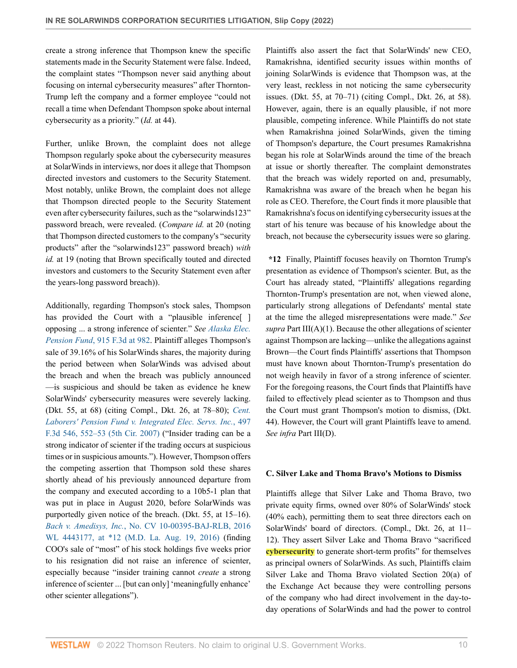create a strong inference that Thompson knew the specific statements made in the Security Statement were false. Indeed, the complaint states "Thompson never said anything about focusing on internal cybersecurity measures" after Thornton-Trump left the company and a former employee "could not recall a time when Defendant Thompson spoke about internal cybersecurity as a priority." (*Id.* at 44).

Further, unlike Brown, the complaint does not allege Thompson regularly spoke about the cybersecurity measures at SolarWinds in interviews, nor does it allege that Thompson directed investors and customers to the Security Statement. Most notably, unlike Brown, the complaint does not allege that Thompson directed people to the Security Statement even after cybersecurity failures, such as the "solarwinds123" password breach, were revealed. (*Compare id.* at 20 (noting that Thompson directed customers to the company's "security products" after the "solarwinds123" password breach) *with id.* at 19 (noting that Brown specifically touted and directed investors and customers to the Security Statement even after the years-long password breach)).

Additionally, regarding Thompson's stock sales, Thompson has provided the Court with a "plausible inference<sup>[]</sup> opposing ... a strong inference of scienter." *See [Alaska Elec.](http://www.westlaw.com/Link/Document/FullText?findType=Y&serNum=2047489655&pubNum=0000506&originatingDoc=I419b5ab0b0f111ecbf45df569f0c2bfa&refType=RP&fi=co_pp_sp_506_982&originationContext=document&vr=3.0&rs=cblt1.0&transitionType=DocumentItem&contextData=(sc.Search)#co_pp_sp_506_982) Pension Fund*[, 915 F.3d at 982.](http://www.westlaw.com/Link/Document/FullText?findType=Y&serNum=2047489655&pubNum=0000506&originatingDoc=I419b5ab0b0f111ecbf45df569f0c2bfa&refType=RP&fi=co_pp_sp_506_982&originationContext=document&vr=3.0&rs=cblt1.0&transitionType=DocumentItem&contextData=(sc.Search)#co_pp_sp_506_982) Plaintiff alleges Thompson's sale of 39.16% of his SolarWinds shares, the majority during the period between when SolarWinds was advised about the breach and when the breach was publicly announced —is suspicious and should be taken as evidence he knew SolarWinds' cybersecurity measures were severely lacking. (Dkt. 55, at 68) (citing Compl., Dkt. 26, at 78–80); *[Cent.](http://www.westlaw.com/Link/Document/FullText?findType=Y&serNum=2012954457&pubNum=0000506&originatingDoc=I419b5ab0b0f111ecbf45df569f0c2bfa&refType=RP&fi=co_pp_sp_506_552&originationContext=document&vr=3.0&rs=cblt1.0&transitionType=DocumentItem&contextData=(sc.Search)#co_pp_sp_506_552) [Laborers' Pension Fund v. Integrated Elec. Servs. Inc.](http://www.westlaw.com/Link/Document/FullText?findType=Y&serNum=2012954457&pubNum=0000506&originatingDoc=I419b5ab0b0f111ecbf45df569f0c2bfa&refType=RP&fi=co_pp_sp_506_552&originationContext=document&vr=3.0&rs=cblt1.0&transitionType=DocumentItem&contextData=(sc.Search)#co_pp_sp_506_552)*, 497 [F.3d 546, 552–53 \(5th Cir. 2007\)](http://www.westlaw.com/Link/Document/FullText?findType=Y&serNum=2012954457&pubNum=0000506&originatingDoc=I419b5ab0b0f111ecbf45df569f0c2bfa&refType=RP&fi=co_pp_sp_506_552&originationContext=document&vr=3.0&rs=cblt1.0&transitionType=DocumentItem&contextData=(sc.Search)#co_pp_sp_506_552) ("Insider trading can be a strong indicator of scienter if the trading occurs at suspicious times or in suspicious amounts."). However, Thompson offers the competing assertion that Thompson sold these shares shortly ahead of his previously announced departure from the company and executed according to a 10b5-1 plan that was put in place in August 2020, before SolarWinds was purportedly given notice of the breach. (Dkt. 55, at 15–16). *Bach v. Amedisys, Inc.*[, No. CV 10-00395-BAJ-RLB, 2016](http://www.westlaw.com/Link/Document/FullText?findType=Y&serNum=2039641961&pubNum=0000999&originatingDoc=I419b5ab0b0f111ecbf45df569f0c2bfa&refType=RP&fi=co_pp_sp_999_12&originationContext=document&vr=3.0&rs=cblt1.0&transitionType=DocumentItem&contextData=(sc.Search)#co_pp_sp_999_12) [WL 4443177, at \\*12 \(M.D. La. Aug. 19, 2016\)](http://www.westlaw.com/Link/Document/FullText?findType=Y&serNum=2039641961&pubNum=0000999&originatingDoc=I419b5ab0b0f111ecbf45df569f0c2bfa&refType=RP&fi=co_pp_sp_999_12&originationContext=document&vr=3.0&rs=cblt1.0&transitionType=DocumentItem&contextData=(sc.Search)#co_pp_sp_999_12) (finding COO's sale of "most" of his stock holdings five weeks prior to his resignation did not raise an inference of scienter, especially because "insider training cannot *create* a strong inference of scienter ... [but can only] 'meaningfully enhance' other scienter allegations").

Plaintiffs also assert the fact that SolarWinds' new CEO, Ramakrishna, identified security issues within months of joining SolarWinds is evidence that Thompson was, at the very least, reckless in not noticing the same cybersecurity issues. (Dkt. 55, at 70–71) (citing Compl., Dkt. 26, at 58). However, again, there is an equally plausible, if not more plausible, competing inference. While Plaintiffs do not state when Ramakrishna joined SolarWinds, given the timing of Thompson's departure, the Court presumes Ramakrishna began his role at SolarWinds around the time of the breach at issue or shortly thereafter. The complaint demonstrates that the breach was widely reported on and, presumably, Ramakrishna was aware of the breach when he began his role as CEO. Therefore, the Court finds it more plausible that Ramakrishna's focus on identifying cybersecurity issues at the start of his tenure was because of his knowledge about the breach, not because the cybersecurity issues were so glaring.

**\*12** Finally, Plaintiff focuses heavily on Thornton Trump's presentation as evidence of Thompson's scienter. But, as the Court has already stated, "Plaintiffs' allegations regarding Thornton-Trump's presentation are not, when viewed alone, particularly strong allegations of Defendants' mental state at the time the alleged misrepresentations were made." *See supra* Part  $III(A)(1)$ . Because the other allegations of scienter against Thompson are lacking—unlike the allegations against Brown—the Court finds Plaintiffs' assertions that Thompson must have known about Thornton-Trump's presentation do not weigh heavily in favor of a strong inference of scienter. For the foregoing reasons, the Court finds that Plaintiffs have failed to effectively plead scienter as to Thompson and thus the Court must grant Thompson's motion to dismiss, (Dkt. 44). However, the Court will grant Plaintiffs leave to amend. *See infra* Part III(D).

# **C. Silver Lake and Thoma Bravo's Motions to Dismiss**

Plaintiffs allege that Silver Lake and Thoma Bravo, two private equity firms, owned over 80% of SolarWinds' stock (40% each), permitting them to seat three directors each on SolarWinds' board of directors. (Compl., Dkt. 26, at 11– 12). They assert Silver Lake and Thoma Bravo "sacrificed **cybersecurity** to generate short-term profits" for themselves as principal owners of SolarWinds. As such, Plaintiffs claim Silver Lake and Thoma Bravo violated Section 20(a) of the Exchange Act because they were controlling persons of the company who had direct involvement in the day-today operations of SolarWinds and had the power to control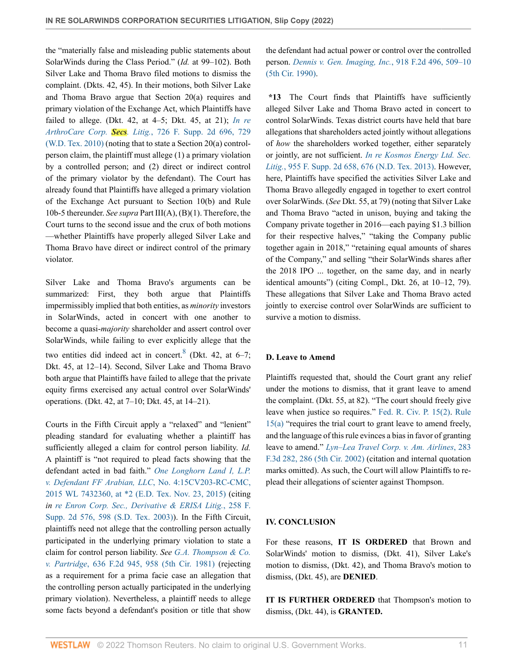the "materially false and misleading public statements about SolarWinds during the Class Period." (*Id.* at 99–102). Both Silver Lake and Thoma Bravo filed motions to dismiss the complaint. (Dkts. 42, 45). In their motions, both Silver Lake and Thoma Bravo argue that Section 20(a) requires and primary violation of the Exchange Act, which Plaintiffs have failed to allege. (Dkt. 42, at 4–5; Dkt. 45, at 21); *[In re](http://www.westlaw.com/Link/Document/FullText?findType=Y&serNum=2022614013&pubNum=0004637&originatingDoc=I419b5ab0b0f111ecbf45df569f0c2bfa&refType=RP&fi=co_pp_sp_4637_729&originationContext=document&vr=3.0&rs=cblt1.0&transitionType=DocumentItem&contextData=(sc.Search)#co_pp_sp_4637_729) ArthroCare Corp. Secs. Litig.*[, 726 F. Supp. 2d 696, 729](http://www.westlaw.com/Link/Document/FullText?findType=Y&serNum=2022614013&pubNum=0004637&originatingDoc=I419b5ab0b0f111ecbf45df569f0c2bfa&refType=RP&fi=co_pp_sp_4637_729&originationContext=document&vr=3.0&rs=cblt1.0&transitionType=DocumentItem&contextData=(sc.Search)#co_pp_sp_4637_729) [\(W.D. Tex. 2010\)](http://www.westlaw.com/Link/Document/FullText?findType=Y&serNum=2022614013&pubNum=0004637&originatingDoc=I419b5ab0b0f111ecbf45df569f0c2bfa&refType=RP&fi=co_pp_sp_4637_729&originationContext=document&vr=3.0&rs=cblt1.0&transitionType=DocumentItem&contextData=(sc.Search)#co_pp_sp_4637_729) (noting that to state a Section 20(a) controlperson claim, the plaintiff must allege (1) a primary violation by a controlled person; and (2) direct or indirect control of the primary violator by the defendant). The Court has already found that Plaintiffs have alleged a primary violation of the Exchange Act pursuant to Section 10(b) and Rule 10b-5 thereunder. *See supra* Part III(A), (B)(1). Therefore, the Court turns to the second issue and the crux of both motions —whether Plaintiffs have properly alleged Silver Lake and Thoma Bravo have direct or indirect control of the primary violator.

Silver Lake and Thoma Bravo's arguments can be summarized: First, they both argue that Plaintiffs impermissibly implied that both entities, as *minority* investors in SolarWinds, acted in concert with one another to become a quasi-*majority* shareholder and assert control over SolarWinds, while failing to ever explicitly allege that the two entities did indeed act in concert.<sup>[8](#page-11-7)</sup> (Dkt. 42, at 6–7; Dkt. 45, at 12–14). Second, Silver Lake and Thoma Bravo both argue that Plaintiffs have failed to allege that the private equity firms exercised any actual control over SolarWinds' operations. (Dkt. 42, at 7–10; Dkt. 45, at 14–21).

Courts in the Fifth Circuit apply a "relaxed" and "lenient" pleading standard for evaluating whether a plaintiff has sufficiently alleged a claim for control person liability. *Id.* A plaintiff is "not required to plead facts showing that the defendant acted in bad faith." *[One Longhorn Land I, L.P.](http://www.westlaw.com/Link/Document/FullText?findType=Y&serNum=2037656938&pubNum=0000999&originatingDoc=I419b5ab0b0f111ecbf45df569f0c2bfa&refType=RP&fi=co_pp_sp_999_2&originationContext=document&vr=3.0&rs=cblt1.0&transitionType=DocumentItem&contextData=(sc.Search)#co_pp_sp_999_2) [v. Defendant FF Arabian, LLC](http://www.westlaw.com/Link/Document/FullText?findType=Y&serNum=2037656938&pubNum=0000999&originatingDoc=I419b5ab0b0f111ecbf45df569f0c2bfa&refType=RP&fi=co_pp_sp_999_2&originationContext=document&vr=3.0&rs=cblt1.0&transitionType=DocumentItem&contextData=(sc.Search)#co_pp_sp_999_2)*, No. 4:15CV203-RC-CMC, [2015 WL 7432360, at \\*2 \(E.D. Tex. Nov. 23, 2015\)](http://www.westlaw.com/Link/Document/FullText?findType=Y&serNum=2037656938&pubNum=0000999&originatingDoc=I419b5ab0b0f111ecbf45df569f0c2bfa&refType=RP&fi=co_pp_sp_999_2&originationContext=document&vr=3.0&rs=cblt1.0&transitionType=DocumentItem&contextData=(sc.Search)#co_pp_sp_999_2) (citing *in [re Enron Corp. Sec., Derivative & ERISA Litig.](http://www.westlaw.com/Link/Document/FullText?findType=Y&serNum=2003212177&pubNum=0004637&originatingDoc=I419b5ab0b0f111ecbf45df569f0c2bfa&refType=RP&fi=co_pp_sp_4637_598&originationContext=document&vr=3.0&rs=cblt1.0&transitionType=DocumentItem&contextData=(sc.Search)#co_pp_sp_4637_598)*, 258 F. [Supp. 2d 576, 598 \(S.D. Tex. 2003\)](http://www.westlaw.com/Link/Document/FullText?findType=Y&serNum=2003212177&pubNum=0004637&originatingDoc=I419b5ab0b0f111ecbf45df569f0c2bfa&refType=RP&fi=co_pp_sp_4637_598&originationContext=document&vr=3.0&rs=cblt1.0&transitionType=DocumentItem&contextData=(sc.Search)#co_pp_sp_4637_598)). In the Fifth Circuit, plaintiffs need not allege that the controlling person actually participated in the underlying primary violation to state a claim for control person liability. *See [G.A. Thompson & Co.](http://www.westlaw.com/Link/Document/FullText?findType=Y&serNum=1981103099&pubNum=0000350&originatingDoc=I419b5ab0b0f111ecbf45df569f0c2bfa&refType=RP&fi=co_pp_sp_350_958&originationContext=document&vr=3.0&rs=cblt1.0&transitionType=DocumentItem&contextData=(sc.Search)#co_pp_sp_350_958) v. Partridge*[, 636 F.2d 945, 958 \(5th Cir. 1981\)](http://www.westlaw.com/Link/Document/FullText?findType=Y&serNum=1981103099&pubNum=0000350&originatingDoc=I419b5ab0b0f111ecbf45df569f0c2bfa&refType=RP&fi=co_pp_sp_350_958&originationContext=document&vr=3.0&rs=cblt1.0&transitionType=DocumentItem&contextData=(sc.Search)#co_pp_sp_350_958) (rejecting as a requirement for a prima facie case an allegation that the controlling person actually participated in the underlying primary violation). Nevertheless, a plaintiff needs to allege some facts beyond a defendant's position or title that show

the defendant had actual power or control over the controlled person. *[Dennis v. Gen. Imaging, Inc.](http://www.westlaw.com/Link/Document/FullText?findType=Y&serNum=1990163890&pubNum=0000350&originatingDoc=I419b5ab0b0f111ecbf45df569f0c2bfa&refType=RP&fi=co_pp_sp_350_509&originationContext=document&vr=3.0&rs=cblt1.0&transitionType=DocumentItem&contextData=(sc.Search)#co_pp_sp_350_509)*, 918 F.2d 496, 509–10 [\(5th Cir. 1990\)](http://www.westlaw.com/Link/Document/FullText?findType=Y&serNum=1990163890&pubNum=0000350&originatingDoc=I419b5ab0b0f111ecbf45df569f0c2bfa&refType=RP&fi=co_pp_sp_350_509&originationContext=document&vr=3.0&rs=cblt1.0&transitionType=DocumentItem&contextData=(sc.Search)#co_pp_sp_350_509).

**\*13** The Court finds that Plaintiffs have sufficiently alleged Silver Lake and Thoma Bravo acted in concert to control SolarWinds. Texas district courts have held that bare allegations that shareholders acted jointly without allegations of *how* the shareholders worked together, either separately or jointly, are not sufficient. *[In re Kosmos Energy Ltd. Sec.](http://www.westlaw.com/Link/Document/FullText?findType=Y&serNum=2030867996&pubNum=0004637&originatingDoc=I419b5ab0b0f111ecbf45df569f0c2bfa&refType=RP&fi=co_pp_sp_4637_676&originationContext=document&vr=3.0&rs=cblt1.0&transitionType=DocumentItem&contextData=(sc.Search)#co_pp_sp_4637_676) Litig.*[, 955 F. Supp. 2d 658, 676 \(N.D. Tex. 2013\)](http://www.westlaw.com/Link/Document/FullText?findType=Y&serNum=2030867996&pubNum=0004637&originatingDoc=I419b5ab0b0f111ecbf45df569f0c2bfa&refType=RP&fi=co_pp_sp_4637_676&originationContext=document&vr=3.0&rs=cblt1.0&transitionType=DocumentItem&contextData=(sc.Search)#co_pp_sp_4637_676). However, here, Plaintiffs have specified the activities Silver Lake and Thoma Bravo allegedly engaged in together to exert control over SolarWinds. (*See* Dkt. 55, at 79) (noting that Silver Lake and Thoma Bravo "acted in unison, buying and taking the Company private together in 2016—each paying \$1.3 billion for their respective halves," "taking the Company public together again in 2018," "retaining equal amounts of shares of the Company," and selling "their SolarWinds shares after the 2018 IPO ... together, on the same day, and in nearly identical amounts") (citing Compl., Dkt. 26, at 10–12, 79). These allegations that Silver Lake and Thoma Bravo acted jointly to exercise control over SolarWinds are sufficient to survive a motion to dismiss.

# <span id="page-10-0"></span>**D. Leave to Amend**

Plaintiffs requested that, should the Court grant any relief under the motions to dismiss, that it grant leave to amend the complaint. (Dkt. 55, at 82). "The court should freely give leave when justice so requires." [Fed. R. Civ. P. 15\(2\)](http://www.westlaw.com/Link/Document/FullText?findType=L&pubNum=1000600&cite=USFRCPR15&originatingDoc=I419b5ab0b0f111ecbf45df569f0c2bfa&refType=LQ&originationContext=document&vr=3.0&rs=cblt1.0&transitionType=DocumentItem&contextData=(sc.Search)). [Rule](http://www.westlaw.com/Link/Document/FullText?findType=L&pubNum=1000600&cite=USFRCPR15&originatingDoc=I419b5ab0b0f111ecbf45df569f0c2bfa&refType=LQ&originationContext=document&vr=3.0&rs=cblt1.0&transitionType=DocumentItem&contextData=(sc.Search)) [15\(a\)](http://www.westlaw.com/Link/Document/FullText?findType=L&pubNum=1000600&cite=USFRCPR15&originatingDoc=I419b5ab0b0f111ecbf45df569f0c2bfa&refType=LQ&originationContext=document&vr=3.0&rs=cblt1.0&transitionType=DocumentItem&contextData=(sc.Search)) "requires the trial court to grant leave to amend freely, and the language of this rule evinces a bias in favor of granting leave to amend." *[Lyn–Lea Travel Corp. v. Am. Airlines](http://www.westlaw.com/Link/Document/FullText?findType=Y&serNum=2002127757&pubNum=0000506&originatingDoc=I419b5ab0b0f111ecbf45df569f0c2bfa&refType=RP&fi=co_pp_sp_506_286&originationContext=document&vr=3.0&rs=cblt1.0&transitionType=DocumentItem&contextData=(sc.Search)#co_pp_sp_506_286)*, 283 [F.3d 282, 286 \(5th Cir. 2002\)](http://www.westlaw.com/Link/Document/FullText?findType=Y&serNum=2002127757&pubNum=0000506&originatingDoc=I419b5ab0b0f111ecbf45df569f0c2bfa&refType=RP&fi=co_pp_sp_506_286&originationContext=document&vr=3.0&rs=cblt1.0&transitionType=DocumentItem&contextData=(sc.Search)#co_pp_sp_506_286) (citation and internal quotation marks omitted). As such, the Court will allow Plaintiffs to replead their allegations of scienter against Thompson.

# **IV. CONCLUSION**

For these reasons, **IT IS ORDERED** that Brown and SolarWinds' motion to dismiss, (Dkt. 41), Silver Lake's motion to dismiss, (Dkt. 42), and Thoma Bravo's motion to dismiss, (Dkt. 45), are **DENIED**.

**IT IS FURTHER ORDERED** that Thompson's motion to dismiss, (Dkt. 44), is **GRANTED.**